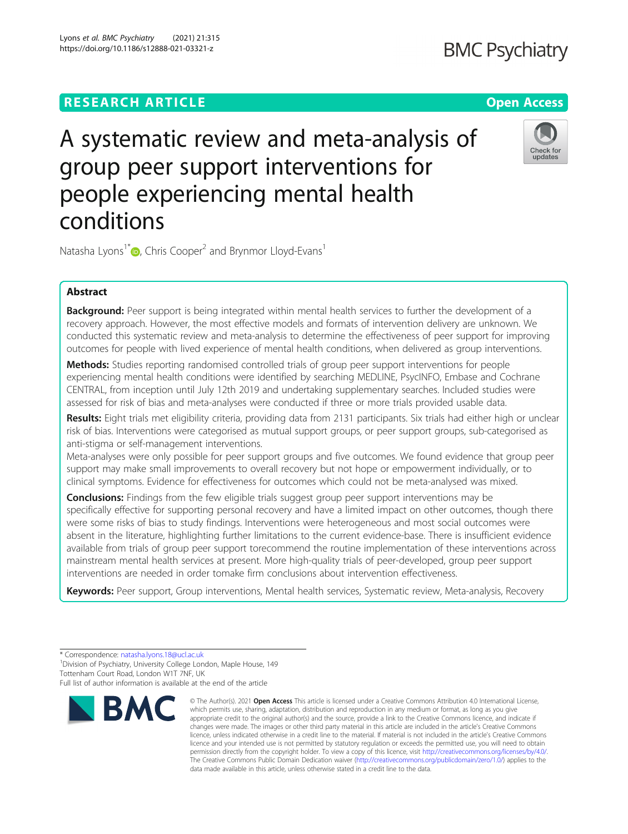## **RESEARCH ARTICLE Example 2014 12:30 The Contract of Contract ACCESS**

# A systematic review and meta-analysis of group peer support interventions for people experiencing mental health conditions

Natasha Lyons<sup>1\*</sup> $\bullet$ [,](http://orcid.org/0000-0003-1635-0681) Chris Cooper<sup>2</sup> and Brynmor Lloyd-Evans<sup>1</sup>

### Abstract

Background: Peer support is being integrated within mental health services to further the development of a recovery approach. However, the most effective models and formats of intervention delivery are unknown. We conducted this systematic review and meta-analysis to determine the effectiveness of peer support for improving outcomes for people with lived experience of mental health conditions, when delivered as group interventions.

Methods: Studies reporting randomised controlled trials of group peer support interventions for people experiencing mental health conditions were identified by searching MEDLINE, PsycINFO, Embase and Cochrane CENTRAL, from inception until July 12th 2019 and undertaking supplementary searches. Included studies were assessed for risk of bias and meta-analyses were conducted if three or more trials provided usable data.

Results: Eight trials met eligibility criteria, providing data from 2131 participants. Six trials had either high or unclear risk of bias. Interventions were categorised as mutual support groups, or peer support groups, sub-categorised as anti-stigma or self-management interventions.

Meta-analyses were only possible for peer support groups and five outcomes. We found evidence that group peer support may make small improvements to overall recovery but not hope or empowerment individually, or to clinical symptoms. Evidence for effectiveness for outcomes which could not be meta-analysed was mixed.

**Conclusions:** Findings from the few eligible trials suggest group peer support interventions may be specifically effective for supporting personal recovery and have a limited impact on other outcomes, though there were some risks of bias to study findings. Interventions were heterogeneous and most social outcomes were absent in the literature, highlighting further limitations to the current evidence-base. There is insufficient evidence available from trials of group peer support torecommend the routine implementation of these interventions across mainstream mental health services at present. More high-quality trials of peer-developed, group peer support interventions are needed in order tomake firm conclusions about intervention effectiveness.

Keywords: Peer support, Group interventions, Mental health services, Systematic review, Meta-analysis, Recovery

**BMC** 

<sup>1</sup> Division of Psychiatry, University College London, Maple House, 149 Tottenham Court Road, London W1T 7NF, UK



<sup>\*</sup> Correspondence: [natasha.lyons.18@ucl.ac.uk](mailto:natasha.lyons.18@ucl.ac.uk) <sup>1</sup>

Full list of author information is available at the end of the article

<sup>©</sup> The Author(s), 2021 **Open Access** This article is licensed under a Creative Commons Attribution 4.0 International License, which permits use, sharing, adaptation, distribution and reproduction in any medium or format, as long as you give appropriate credit to the original author(s) and the source, provide a link to the Creative Commons licence, and indicate if changes were made. The images or other third party material in this article are included in the article's Creative Commons licence, unless indicated otherwise in a credit line to the material. If material is not included in the article's Creative Commons licence and your intended use is not permitted by statutory regulation or exceeds the permitted use, you will need to obtain permission directly from the copyright holder. To view a copy of this licence, visit [http://creativecommons.org/licenses/by/4.0/.](http://creativecommons.org/licenses/by/4.0/) The Creative Commons Public Domain Dedication waiver [\(http://creativecommons.org/publicdomain/zero/1.0/](http://creativecommons.org/publicdomain/zero/1.0/)) applies to the data made available in this article, unless otherwise stated in a credit line to the data.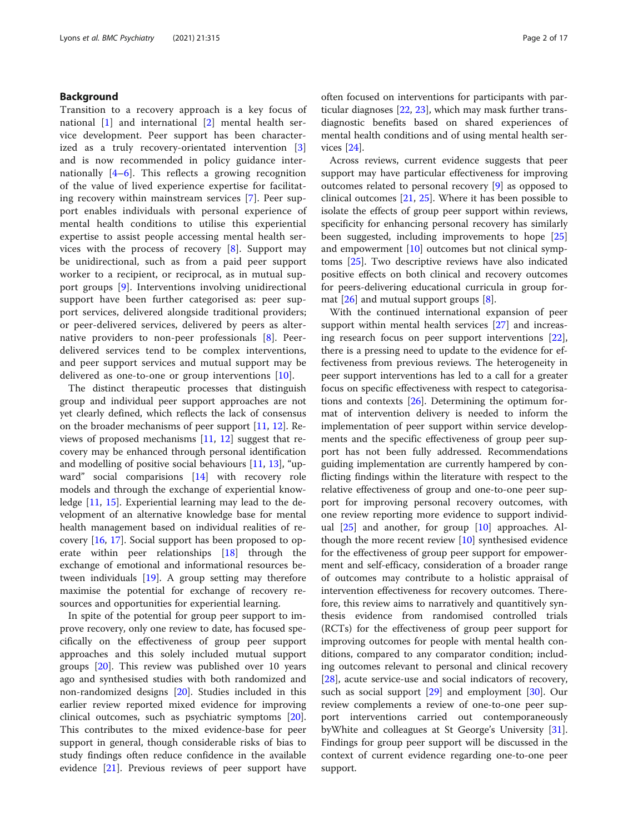#### Background

Transition to a recovery approach is a key focus of national [\[1](#page-14-0)] and international [[2\]](#page-14-0) mental health service development. Peer support has been characterized as a truly recovery-orientated intervention [\[3](#page-14-0)] and is now recommended in policy guidance internationally  $[4-6]$  $[4-6]$  $[4-6]$  $[4-6]$ . This reflects a growing recognition of the value of lived experience expertise for facilitating recovery within mainstream services [[7\]](#page-14-0). Peer support enables individuals with personal experience of mental health conditions to utilise this experiential expertise to assist people accessing mental health services with the process of recovery  $[8]$  $[8]$ . Support may be unidirectional, such as from a paid peer support worker to a recipient, or reciprocal, as in mutual support groups [[9\]](#page-14-0). Interventions involving unidirectional support have been further categorised as: peer support services, delivered alongside traditional providers; or peer-delivered services, delivered by peers as alternative providers to non-peer professionals [\[8](#page-14-0)]. Peerdelivered services tend to be complex interventions, and peer support services and mutual support may be delivered as one-to-one or group interventions [[10\]](#page-14-0).

The distinct therapeutic processes that distinguish group and individual peer support approaches are not yet clearly defined, which reflects the lack of consensus on the broader mechanisms of peer support [\[11](#page-14-0), [12](#page-14-0)]. Reviews of proposed mechanisms [\[11,](#page-14-0) [12\]](#page-14-0) suggest that recovery may be enhanced through personal identification and modelling of positive social behaviours [[11,](#page-14-0) [13\]](#page-14-0), "upward" social comparisions [[14\]](#page-14-0) with recovery role models and through the exchange of experiential knowledge [[11,](#page-14-0) [15](#page-14-0)]. Experiential learning may lead to the development of an alternative knowledge base for mental health management based on individual realities of recovery [[16](#page-14-0), [17\]](#page-14-0). Social support has been proposed to operate within peer relationships [\[18\]](#page-14-0) through the exchange of emotional and informational resources between individuals [\[19](#page-14-0)]. A group setting may therefore maximise the potential for exchange of recovery resources and opportunities for experiential learning.

In spite of the potential for group peer support to improve recovery, only one review to date, has focused specifically on the effectiveness of group peer support approaches and this solely included mutual support groups [[20\]](#page-14-0). This review was published over 10 years ago and synthesised studies with both randomized and non-randomized designs [[20\]](#page-14-0). Studies included in this earlier review reported mixed evidence for improving clinical outcomes, such as psychiatric symptoms [\[20](#page-14-0)]. This contributes to the mixed evidence-base for peer support in general, though considerable risks of bias to study findings often reduce confidence in the available evidence [[21\]](#page-14-0). Previous reviews of peer support have

often focused on interventions for participants with particular diagnoses [\[22,](#page-14-0) [23\]](#page-14-0), which may mask further transdiagnostic benefits based on shared experiences of mental health conditions and of using mental health services [\[24](#page-14-0)].

Across reviews, current evidence suggests that peer support may have particular effectiveness for improving outcomes related to personal recovery [[9\]](#page-14-0) as opposed to clinical outcomes [\[21](#page-14-0), [25](#page-14-0)]. Where it has been possible to isolate the effects of group peer support within reviews, specificity for enhancing personal recovery has similarly been suggested, including improvements to hope [[25](#page-14-0)] and empowerment [\[10](#page-14-0)] outcomes but not clinical symptoms [[25](#page-14-0)]. Two descriptive reviews have also indicated positive effects on both clinical and recovery outcomes for peers-delivering educational curricula in group format [[26](#page-14-0)] and mutual support groups [[8\]](#page-14-0).

With the continued international expansion of peer support within mental health services [\[27](#page-14-0)] and increasing research focus on peer support interventions [\[22](#page-14-0)], there is a pressing need to update to the evidence for effectiveness from previous reviews. The heterogeneity in peer support interventions has led to a call for a greater focus on specific effectiveness with respect to categorisations and contexts [[26](#page-14-0)]. Determining the optimum format of intervention delivery is needed to inform the implementation of peer support within service developments and the specific effectiveness of group peer support has not been fully addressed. Recommendations guiding implementation are currently hampered by conflicting findings within the literature with respect to the relative effectiveness of group and one-to-one peer support for improving personal recovery outcomes, with one review reporting more evidence to support individual  $[25]$  $[25]$  $[25]$  and another, for group  $[10]$  $[10]$  approaches. Although the more recent review [\[10\]](#page-14-0) synthesised evidence for the effectiveness of group peer support for empowerment and self-efficacy, consideration of a broader range of outcomes may contribute to a holistic appraisal of intervention effectiveness for recovery outcomes. Therefore, this review aims to narratively and quantitively synthesis evidence from randomised controlled trials (RCTs) for the effectiveness of group peer support for improving outcomes for people with mental health conditions, compared to any comparator condition; including outcomes relevant to personal and clinical recovery [[28\]](#page-14-0), acute service-use and social indicators of recovery, such as social support [[29\]](#page-14-0) and employment [\[30](#page-14-0)]. Our review complements a review of one-to-one peer support interventions carried out contemporaneously byWhite and colleagues at St George's University [\[31](#page-14-0)]. Findings for group peer support will be discussed in the context of current evidence regarding one-to-one peer support.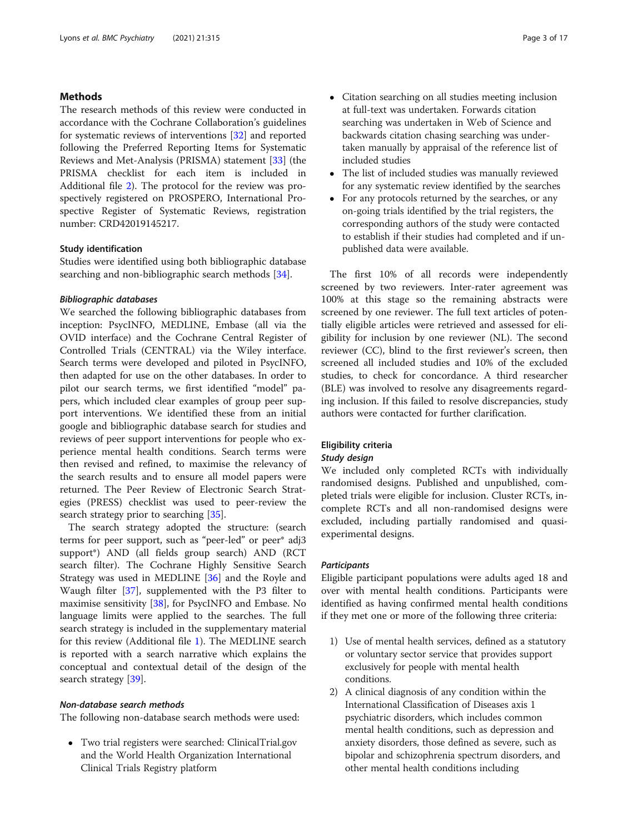#### Methods

The research methods of this review were conducted in accordance with the Cochrane Collaboration's guidelines for systematic reviews of interventions [\[32](#page-14-0)] and reported following the Preferred Reporting Items for Systematic Reviews and Met-Analysis (PRISMA) statement [[33](#page-14-0)] (the PRISMA checklist for each item is included in Additional file [2\)](#page-13-0). The protocol for the review was prospectively registered on PROSPERO, International Prospective Register of Systematic Reviews, registration number: CRD42019145217.

#### Study identification

Studies were identified using both bibliographic database searching and non-bibliographic search methods [\[34](#page-14-0)].

#### Bibliographic databases

We searched the following bibliographic databases from inception: PsycINFO, MEDLINE, Embase (all via the OVID interface) and the Cochrane Central Register of Controlled Trials (CENTRAL) via the Wiley interface. Search terms were developed and piloted in PsycINFO, then adapted for use on the other databases. In order to pilot our search terms, we first identified "model" papers, which included clear examples of group peer support interventions. We identified these from an initial google and bibliographic database search for studies and reviews of peer support interventions for people who experience mental health conditions. Search terms were then revised and refined, to maximise the relevancy of the search results and to ensure all model papers were returned. The Peer Review of Electronic Search Strategies (PRESS) checklist was used to peer-review the search strategy prior to searching [\[35](#page-14-0)].

The search strategy adopted the structure: (search terms for peer support, such as "peer-led" or peer\* adj3 support\*) AND (all fields group search) AND (RCT search filter). The Cochrane Highly Sensitive Search Strategy was used in MEDLINE [[36\]](#page-14-0) and the Royle and Waugh filter [[37\]](#page-14-0), supplemented with the P3 filter to maximise sensitivity [\[38](#page-14-0)], for PsycINFO and Embase. No language limits were applied to the searches. The full search strategy is included in the supplementary material for this review (Additional file [1\)](#page-13-0). The MEDLINE search is reported with a search narrative which explains the conceptual and contextual detail of the design of the search strategy [\[39](#page-14-0)].

#### Non-database search methods

The following non-database search methods were used:

 Two trial registers were searched: ClinicalTrial.gov and the World Health Organization International Clinical Trials Registry platform

- Citation searching on all studies meeting inclusion at full-text was undertaken. Forwards citation searching was undertaken in Web of Science and backwards citation chasing searching was undertaken manually by appraisal of the reference list of included studies
- The list of included studies was manually reviewed for any systematic review identified by the searches
- For any protocols returned by the searches, or any on-going trials identified by the trial registers, the corresponding authors of the study were contacted to establish if their studies had completed and if unpublished data were available.

The first 10% of all records were independently screened by two reviewers. Inter-rater agreement was 100% at this stage so the remaining abstracts were screened by one reviewer. The full text articles of potentially eligible articles were retrieved and assessed for eligibility for inclusion by one reviewer (NL). The second reviewer (CC), blind to the first reviewer's screen, then screened all included studies and 10% of the excluded studies, to check for concordance. A third researcher (BLE) was involved to resolve any disagreements regarding inclusion. If this failed to resolve discrepancies, study authors were contacted for further clarification.

#### Eligibility criteria

#### Study design

We included only completed RCTs with individually randomised designs. Published and unpublished, completed trials were eligible for inclusion. Cluster RCTs, incomplete RCTs and all non-randomised designs were excluded, including partially randomised and quasiexperimental designs.

#### **Participants**

Eligible participant populations were adults aged 18 and over with mental health conditions. Participants were identified as having confirmed mental health conditions if they met one or more of the following three criteria:

- 1) Use of mental health services, defined as a statutory or voluntary sector service that provides support exclusively for people with mental health conditions.
- 2) A clinical diagnosis of any condition within the International Classification of Diseases axis 1 psychiatric disorders, which includes common mental health conditions, such as depression and anxiety disorders, those defined as severe, such as bipolar and schizophrenia spectrum disorders, and other mental health conditions including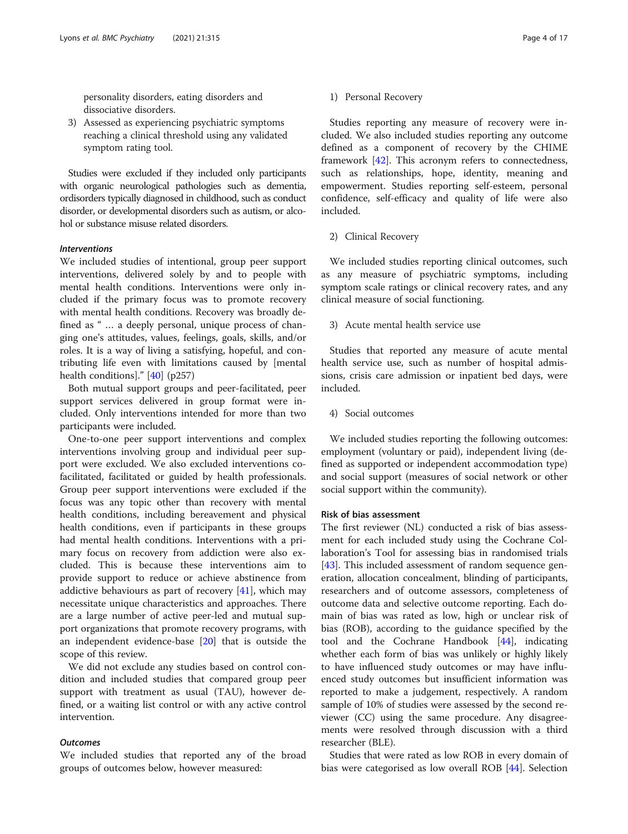personality disorders, eating disorders and dissociative disorders.

3) Assessed as experiencing psychiatric symptoms reaching a clinical threshold using any validated symptom rating tool.

Studies were excluded if they included only participants with organic neurological pathologies such as dementia, ordisorders typically diagnosed in childhood, such as conduct disorder, or developmental disorders such as autism, or alcohol or substance misuse related disorders.

#### Interventions

We included studies of intentional, group peer support interventions, delivered solely by and to people with mental health conditions. Interventions were only included if the primary focus was to promote recovery with mental health conditions. Recovery was broadly defined as " … a deeply personal, unique process of changing one's attitudes, values, feelings, goals, skills, and/or roles. It is a way of living a satisfying, hopeful, and contributing life even with limitations caused by [mental health conditions]." [[40](#page-14-0)] (p257)

Both mutual support groups and peer-facilitated, peer support services delivered in group format were included. Only interventions intended for more than two participants were included.

One-to-one peer support interventions and complex interventions involving group and individual peer support were excluded. We also excluded interventions cofacilitated, facilitated or guided by health professionals. Group peer support interventions were excluded if the focus was any topic other than recovery with mental health conditions, including bereavement and physical health conditions, even if participants in these groups had mental health conditions. Interventions with a primary focus on recovery from addiction were also excluded. This is because these interventions aim to provide support to reduce or achieve abstinence from addictive behaviours as part of recovery [\[41](#page-14-0)], which may necessitate unique characteristics and approaches. There are a large number of active peer-led and mutual support organizations that promote recovery programs, with an independent evidence-base  $[20]$  $[20]$  that is outside the scope of this review.

We did not exclude any studies based on control condition and included studies that compared group peer support with treatment as usual (TAU), however defined, or a waiting list control or with any active control intervention.

#### **Outcomes**

We included studies that reported any of the broad groups of outcomes below, however measured:

Studies reporting any measure of recovery were included. We also included studies reporting any outcome defined as a component of recovery by the CHIME framework [\[42\]](#page-14-0). This acronym refers to connectedness, such as relationships, hope, identity, meaning and empowerment. Studies reporting self-esteem, personal confidence, self-efficacy and quality of life were also included.

#### 2) Clinical Recovery

We included studies reporting clinical outcomes, such as any measure of psychiatric symptoms, including symptom scale ratings or clinical recovery rates, and any clinical measure of social functioning.

3) Acute mental health service use

Studies that reported any measure of acute mental health service use, such as number of hospital admissions, crisis care admission or inpatient bed days, were included.

4) Social outcomes

We included studies reporting the following outcomes: employment (voluntary or paid), independent living (defined as supported or independent accommodation type) and social support (measures of social network or other social support within the community).

#### Risk of bias assessment

The first reviewer (NL) conducted a risk of bias assessment for each included study using the Cochrane Collaboration's Tool for assessing bias in randomised trials [[43\]](#page-14-0). This included assessment of random sequence generation, allocation concealment, blinding of participants, researchers and of outcome assessors, completeness of outcome data and selective outcome reporting. Each domain of bias was rated as low, high or unclear risk of bias (ROB), according to the guidance specified by the tool and the Cochrane Handbook [[44\]](#page-15-0), indicating whether each form of bias was unlikely or highly likely to have influenced study outcomes or may have influenced study outcomes but insufficient information was reported to make a judgement, respectively. A random sample of 10% of studies were assessed by the second reviewer (CC) using the same procedure. Any disagreements were resolved through discussion with a third researcher (BLE).

Studies that were rated as low ROB in every domain of bias were categorised as low overall ROB [[44\]](#page-15-0). Selection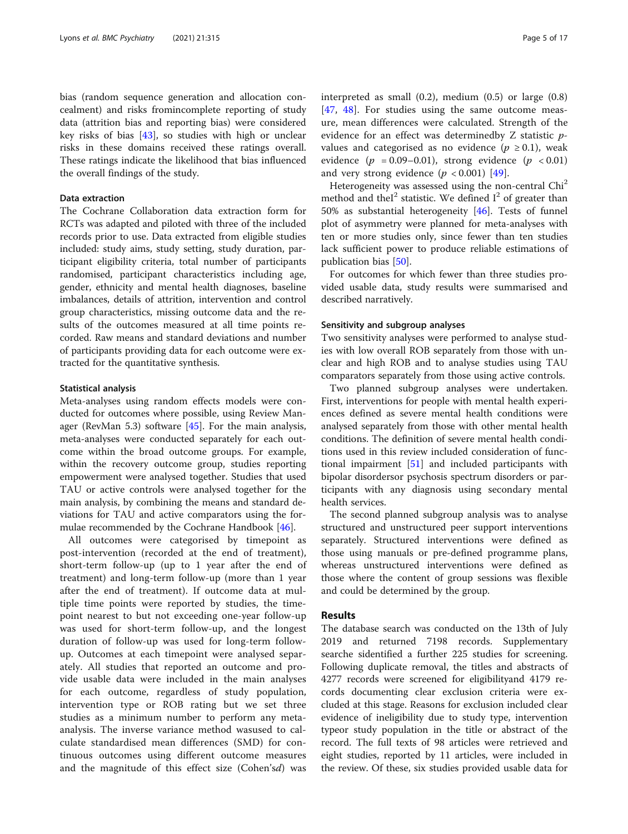bias (random sequence generation and allocation concealment) and risks fromincomplete reporting of study data (attrition bias and reporting bias) were considered key risks of bias [\[43\]](#page-14-0), so studies with high or unclear risks in these domains received these ratings overall. These ratings indicate the likelihood that bias influenced the overall findings of the study.

#### Data extraction

The Cochrane Collaboration data extraction form for RCTs was adapted and piloted with three of the included records prior to use. Data extracted from eligible studies included: study aims, study setting, study duration, participant eligibility criteria, total number of participants randomised, participant characteristics including age, gender, ethnicity and mental health diagnoses, baseline imbalances, details of attrition, intervention and control group characteristics, missing outcome data and the results of the outcomes measured at all time points recorded. Raw means and standard deviations and number of participants providing data for each outcome were extracted for the quantitative synthesis.

#### Statistical analysis

Meta-analyses using random effects models were conducted for outcomes where possible, using Review Manager (RevMan 5.3) software [\[45\]](#page-15-0). For the main analysis, meta-analyses were conducted separately for each outcome within the broad outcome groups. For example, within the recovery outcome group, studies reporting empowerment were analysed together. Studies that used TAU or active controls were analysed together for the main analysis, by combining the means and standard deviations for TAU and active comparators using the formulae recommended by the Cochrane Handbook [[46](#page-15-0)].

All outcomes were categorised by timepoint as post-intervention (recorded at the end of treatment), short-term follow-up (up to 1 year after the end of treatment) and long-term follow-up (more than 1 year after the end of treatment). If outcome data at multiple time points were reported by studies, the timepoint nearest to but not exceeding one-year follow-up was used for short-term follow-up, and the longest duration of follow-up was used for long-term followup. Outcomes at each timepoint were analysed separately. All studies that reported an outcome and provide usable data were included in the main analyses for each outcome, regardless of study population, intervention type or ROB rating but we set three studies as a minimum number to perform any metaanalysis. The inverse variance method wasused to calculate standardised mean differences (SMD) for continuous outcomes using different outcome measures and the magnitude of this effect size (Cohen'sd) was interpreted as small (0.2), medium (0.5) or large (0.8) [[47,](#page-15-0) [48\]](#page-15-0). For studies using the same outcome measure, mean differences were calculated. Strength of the evidence for an effect was determinedby Z statistic pvalues and categorised as no evidence ( $p \ge 0.1$ ), weak evidence  $(p = 0.09-0.01)$ , strong evidence  $(p < 0.01)$ and very strong evidence  $(p < 0.001)$  [[49\]](#page-15-0).

Heterogeneity was assessed using the non-central Chi<sup>2</sup> method and the<sup> $1<sup>2</sup>$  statistic. We defined  $I<sup>2</sup>$  of greater than</sup> 50% as substantial heterogeneity [\[46](#page-15-0)]. Tests of funnel plot of asymmetry were planned for meta-analyses with ten or more studies only, since fewer than ten studies lack sufficient power to produce reliable estimations of publication bias [\[50](#page-15-0)].

For outcomes for which fewer than three studies provided usable data, study results were summarised and described narratively.

#### Sensitivity and subgroup analyses

Two sensitivity analyses were performed to analyse studies with low overall ROB separately from those with unclear and high ROB and to analyse studies using TAU comparators separately from those using active controls.

Two planned subgroup analyses were undertaken. First, interventions for people with mental health experiences defined as severe mental health conditions were analysed separately from those with other mental health conditions. The definition of severe mental health conditions used in this review included consideration of functional impairment [\[51\]](#page-15-0) and included participants with bipolar disordersor psychosis spectrum disorders or participants with any diagnosis using secondary mental health services.

The second planned subgroup analysis was to analyse structured and unstructured peer support interventions separately. Structured interventions were defined as those using manuals or pre-defined programme plans, whereas unstructured interventions were defined as those where the content of group sessions was flexible and could be determined by the group.

#### Results

The database search was conducted on the 13th of July 2019 and returned 7198 records. Supplementary searche sidentified a further 225 studies for screening. Following duplicate removal, the titles and abstracts of 4277 records were screened for eligibilityand 4179 records documenting clear exclusion criteria were excluded at this stage. Reasons for exclusion included clear evidence of ineligibility due to study type, intervention typeor study population in the title or abstract of the record. The full texts of 98 articles were retrieved and eight studies, reported by 11 articles, were included in the review. Of these, six studies provided usable data for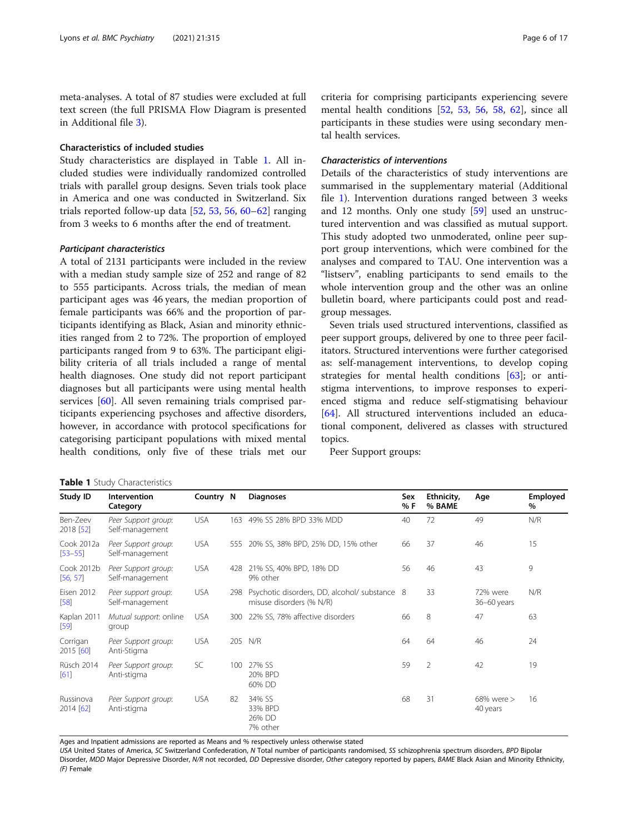meta-analyses. A total of 87 studies were excluded at full text screen (the full PRISMA Flow Diagram is presented in Additional file [3\)](#page-13-0).

#### Characteristics of included studies

Study characteristics are displayed in Table 1. All included studies were individually randomized controlled trials with parallel group designs. Seven trials took place in America and one was conducted in Switzerland. Six trials reported follow-up data [\[52,](#page-15-0) [53,](#page-15-0) [56,](#page-15-0) [60](#page-15-0)–[62\]](#page-15-0) ranging from 3 weeks to 6 months after the end of treatment.

#### Participant characteristics

Table 1 Study Characteristics

A total of 2131 participants were included in the review with a median study sample size of 252 and range of 82 to 555 participants. Across trials, the median of mean participant ages was 46 years, the median proportion of female participants was 66% and the proportion of participants identifying as Black, Asian and minority ethnicities ranged from 2 to 72%. The proportion of employed participants ranged from 9 to 63%. The participant eligibility criteria of all trials included a range of mental health diagnoses. One study did not report participant diagnoses but all participants were using mental health services [\[60](#page-15-0)]. All seven remaining trials comprised participants experiencing psychoses and affective disorders, however, in accordance with protocol specifications for categorising participant populations with mixed mental health conditions, only five of these trials met our criteria for comprising participants experiencing severe mental health conditions [[52,](#page-15-0) [53](#page-15-0), [56,](#page-15-0) [58](#page-15-0), [62\]](#page-15-0), since all participants in these studies were using secondary mental health services.

#### Characteristics of interventions

Details of the characteristics of study interventions are summarised in the supplementary material (Additional file [1](#page-13-0)). Intervention durations ranged between 3 weeks and 12 months. Only one study [\[59\]](#page-15-0) used an unstructured intervention and was classified as mutual support. This study adopted two unmoderated, online peer support group interventions, which were combined for the analyses and compared to TAU. One intervention was a "listserv", enabling participants to send emails to the whole intervention group and the other was an online bulletin board, where participants could post and readgroup messages.

Seven trials used structured interventions, classified as peer support groups, delivered by one to three peer facilitators. Structured interventions were further categorised as: self-management interventions, to develop coping strategies for mental health conditions [[63](#page-15-0)]; or antistigma interventions, to improve responses to experienced stigma and reduce self-stigmatising behaviour [[64\]](#page-15-0). All structured interventions included an educational component, delivered as classes with structured topics.

Peer Support groups:

| Study ID                  | Intervention<br>Category               | Country N  |     | <b>Diagnoses</b>                                                          | Sex<br>% F | Ethnicity,<br>% BAME | Age                         | Employed<br>% |
|---------------------------|----------------------------------------|------------|-----|---------------------------------------------------------------------------|------------|----------------------|-----------------------------|---------------|
| Ben-Zeev<br>2018 [52]     | Peer Support group:<br>Self-management | <b>USA</b> | 163 | 49% SS 28% BPD 33% MDD                                                    | 40         | 72                   | 49                          | N/R           |
| Cook 2012a<br>$[53 - 55]$ | Peer Support group:<br>Self-management | <b>USA</b> | 555 | 20% SS, 38% BPD, 25% DD, 15% other                                        | 66         | 37                   | 46                          | 15            |
| Cook 2012b<br>[56, 57]    | Peer Support group:<br>Self-management | USA.       | 428 | 21% SS, 40% BPD, 18% DD<br>9% other                                       | 56         | 46                   | 43                          | 9             |
| <b>Eisen 2012</b><br>[58] | Peer support group:<br>Self-management | <b>USA</b> | 298 | Psychotic disorders, DD, alcohol/ substance 8<br>misuse disorders (% N/R) |            | 33                   | 72% were<br>36-60 years     | N/R           |
| Kaplan 2011<br>$[59]$     | Mutual support: online<br>group        | <b>USA</b> | 300 | 22% SS, 78% affective disorders                                           | 66         | 8                    | 47                          | 63            |
| Corrigan<br>2015 [60]     | Peer Support group:<br>Anti-Stigma     | <b>USA</b> |     | 205 N/R                                                                   | 64         | 64                   | 46                          | 24            |
| Rüsch 2014<br>[61]        | Peer Support group:<br>Anti-stigma     | SC         | 100 | 27% SS<br>20% BPD<br>60% DD                                               | 59         | $\overline{2}$       | 42                          | 19            |
| Russinova<br>2014 [62]    | Peer Support group:<br>Anti-stigma     | <b>USA</b> | 82  | 34% SS<br>33% BPD<br>26% DD<br>7% other                                   | 68         | 31                   | $68\%$ were $>$<br>40 years | 16            |

Ages and Inpatient admissions are reported as Means and % respectively unless otherwise stated

USA United States of America, SC Switzerland Confederation, N Total number of participants randomised, SS schizophrenia spectrum disorders, BPD Bipolar Disorder, MDD Major Depressive Disorder, N/R not recorded, DD Depressive disorder, Other category reported by papers, BAME Black Asian and Minority Ethnicity, (F) Female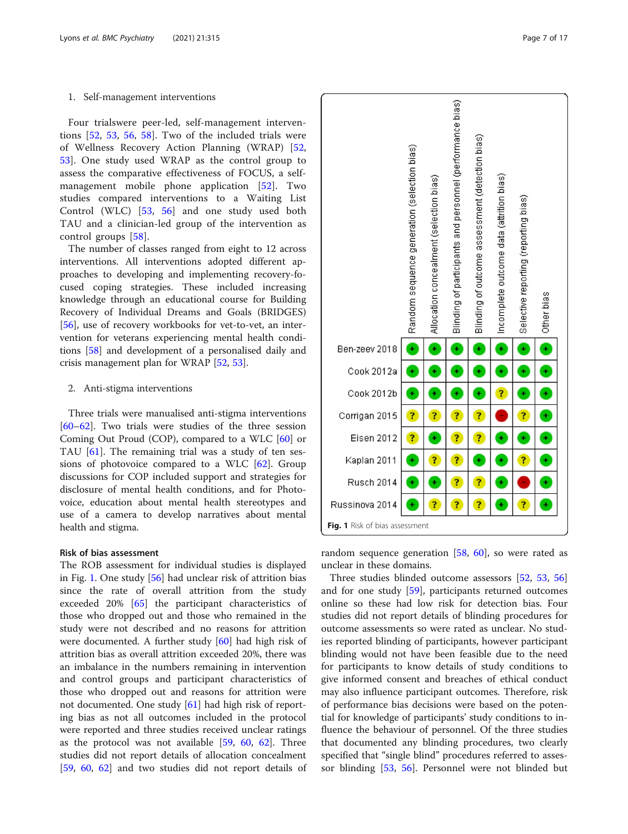#### 1. Self-management interventions

Four trialswere peer-led, self-management interventions [[52,](#page-15-0) [53](#page-15-0), [56](#page-15-0), [58\]](#page-15-0). Two of the included trials were of Wellness Recovery Action Planning (WRAP) [\[52](#page-15-0), [53\]](#page-15-0). One study used WRAP as the control group to assess the comparative effectiveness of FOCUS, a selfmanagement mobile phone application [[52\]](#page-15-0). Two studies compared interventions to a Waiting List Control (WLC) [\[53](#page-15-0), [56](#page-15-0)] and one study used both TAU and a clinician-led group of the intervention as control groups [\[58](#page-15-0)].

The number of classes ranged from eight to 12 across interventions. All interventions adopted different approaches to developing and implementing recovery-focused coping strategies. These included increasing knowledge through an educational course for Building Recovery of Individual Dreams and Goals (BRIDGES) [[56\]](#page-15-0), use of recovery workbooks for vet-to-vet, an intervention for veterans experiencing mental health conditions [[58\]](#page-15-0) and development of a personalised daily and crisis management plan for WRAP [[52](#page-15-0), [53](#page-15-0)].

#### 2. Anti-stigma interventions

Three trials were manualised anti-stigma interventions [[60](#page-15-0)–[62](#page-15-0)]. Two trials were studies of the three session Coming Out Proud (COP), compared to a WLC [\[60](#page-15-0)] or TAU [[61\]](#page-15-0). The remaining trial was a study of ten sessions of photovoice compared to a WLC  $[62]$  $[62]$ . Group discussions for COP included support and strategies for disclosure of mental health conditions, and for Photovoice, education about mental health stereotypes and use of a camera to develop narratives about mental health and stigma.

#### Risk of bias assessment

The ROB assessment for individual studies is displayed in Fig. 1. One study [\[56](#page-15-0)] had unclear risk of attrition bias since the rate of overall attrition from the study exceeded 20% [\[65](#page-15-0)] the participant characteristics of those who dropped out and those who remained in the study were not described and no reasons for attrition were documented. A further study [\[60](#page-15-0)] had high risk of attrition bias as overall attrition exceeded 20%, there was an imbalance in the numbers remaining in intervention and control groups and participant characteristics of those who dropped out and reasons for attrition were not documented. One study [[61\]](#page-15-0) had high risk of reporting bias as not all outcomes included in the protocol were reported and three studies received unclear ratings as the protocol was not available [\[59,](#page-15-0) [60](#page-15-0), [62\]](#page-15-0). Three studies did not report details of allocation concealment [[59,](#page-15-0) [60,](#page-15-0) [62](#page-15-0)] and two studies did not report details of



random sequence generation  $[58, 60]$  $[58, 60]$  $[58, 60]$  $[58, 60]$ , so were rated as unclear in these domains.

Three studies blinded outcome assessors [[52,](#page-15-0) [53](#page-15-0), [56](#page-15-0)] and for one study [\[59\]](#page-15-0), participants returned outcomes online so these had low risk for detection bias. Four studies did not report details of blinding procedures for outcome assessments so were rated as unclear. No studies reported blinding of participants, however participant blinding would not have been feasible due to the need for participants to know details of study conditions to give informed consent and breaches of ethical conduct may also influence participant outcomes. Therefore, risk of performance bias decisions were based on the potential for knowledge of participants' study conditions to influence the behaviour of personnel. Of the three studies that documented any blinding procedures, two clearly specified that "single blind" procedures referred to assessor blinding [\[53,](#page-15-0) [56\]](#page-15-0). Personnel were not blinded but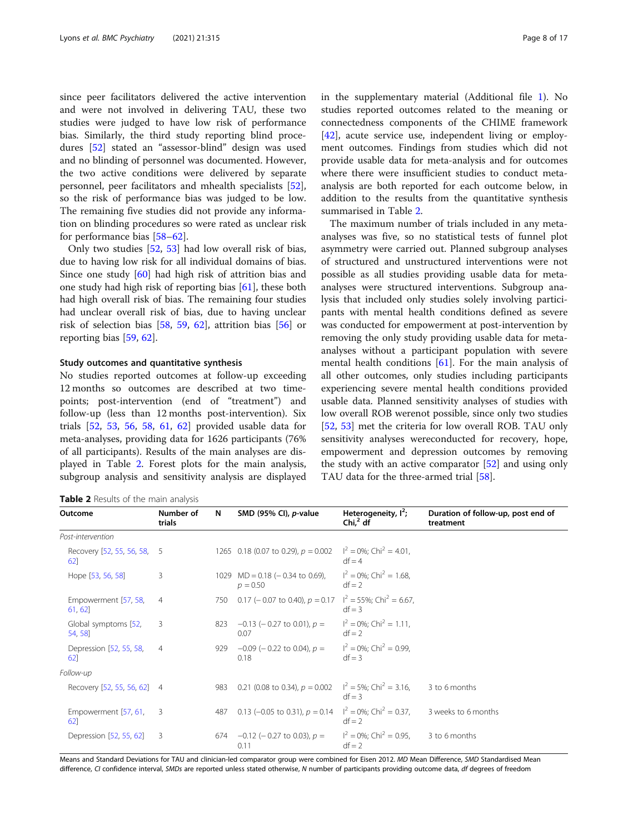since peer facilitators delivered the active intervention and were not involved in delivering TAU, these two studies were judged to have low risk of performance bias. Similarly, the third study reporting blind procedures [[52](#page-15-0)] stated an "assessor-blind" design was used and no blinding of personnel was documented. However, the two active conditions were delivered by separate personnel, peer facilitators and mhealth specialists [\[52](#page-15-0)], so the risk of performance bias was judged to be low. The remaining five studies did not provide any information on blinding procedures so were rated as unclear risk for performance bias [[58](#page-15-0)–[62](#page-15-0)].

Only two studies [\[52](#page-15-0), [53\]](#page-15-0) had low overall risk of bias, due to having low risk for all individual domains of bias. Since one study [\[60](#page-15-0)] had high risk of attrition bias and one study had high risk of reporting bias [[61\]](#page-15-0), these both had high overall risk of bias. The remaining four studies had unclear overall risk of bias, due to having unclear risk of selection bias [[58](#page-15-0), [59,](#page-15-0) [62\]](#page-15-0), attrition bias [\[56](#page-15-0)] or reporting bias [[59](#page-15-0), [62](#page-15-0)].

#### Study outcomes and quantitative synthesis

No studies reported outcomes at follow-up exceeding 12 months so outcomes are described at two timepoints; post-intervention (end of "treatment") and follow-up (less than 12 months post-intervention). Six trials [[52,](#page-15-0) [53](#page-15-0), [56](#page-15-0), [58,](#page-15-0) [61](#page-15-0), [62](#page-15-0)] provided usable data for meta-analyses, providing data for 1626 participants (76% of all participants). Results of the main analyses are displayed in Table 2. Forest plots for the main analysis, subgroup analysis and sensitivity analysis are displayed

Table 2 Results of the main analysis

in the supplementary material (Additional file [1](#page-13-0)). No studies reported outcomes related to the meaning or connectedness components of the CHIME framework [[42\]](#page-14-0), acute service use, independent living or employment outcomes. Findings from studies which did not provide usable data for meta-analysis and for outcomes where there were insufficient studies to conduct metaanalysis are both reported for each outcome below, in addition to the results from the quantitative synthesis summarised in Table 2.

The maximum number of trials included in any metaanalyses was five, so no statistical tests of funnel plot asymmetry were carried out. Planned subgroup analyses of structured and unstructured interventions were not possible as all studies providing usable data for metaanalyses were structured interventions. Subgroup analysis that included only studies solely involving participants with mental health conditions defined as severe was conducted for empowerment at post-intervention by removing the only study providing usable data for metaanalyses without a participant population with severe mental health conditions  $[61]$  $[61]$ . For the main analysis of all other outcomes, only studies including participants experiencing severe mental health conditions provided usable data. Planned sensitivity analyses of studies with low overall ROB werenot possible, since only two studies [[52,](#page-15-0) [53](#page-15-0)] met the criteria for low overall ROB. TAU only sensitivity analyses wereconducted for recovery, hope, empowerment and depression outcomes by removing the study with an active comparator [\[52](#page-15-0)] and using only TAU data for the three-armed trial [[58](#page-15-0)].

| Outcome                            | Number of<br>trials | N   | SMD (95% CI), p-value                            | Heterogeneity, $I^2$ ;<br>Chi, $2$ df               | Duration of follow-up, post end of<br>treatment |
|------------------------------------|---------------------|-----|--------------------------------------------------|-----------------------------------------------------|-------------------------------------------------|
| Post-intervention                  |                     |     |                                                  |                                                     |                                                 |
| Recovery [52, 55, 56, 58, 5<br>62] |                     |     | 1265 0.18 (0.07 to 0.29), $p = 0.002$            | $I^2 = 0\%$ ; Chi <sup>2</sup> = 4.01,<br>$df = 4$  |                                                 |
| Hope [53, 56, 58]                  | 3                   |     | 1029 MD = $0.18$ (- 0.34 to 0.69),<br>$p = 0.50$ | $I^2 = 0\%$ ; Chi <sup>2</sup> = 1.68,<br>$df = 2$  |                                                 |
| Empowerment [57, 58,<br>61, 62     | $\overline{4}$      | 750 | 0.17 (- 0.07 to 0.40), $p = 0.17$                | $I^2 = 55\%$ ; Chi <sup>2</sup> = 6.67,<br>$df = 3$ |                                                 |
| Global symptoms [52,<br>54, 58     | 3                   | 823 | $-0.13$ (-0.27 to 0.01), $p =$<br>0.07           | $I^2 = 0\%$ ; Chi <sup>2</sup> = 1.11,<br>$df = 2$  |                                                 |
| Depression [52, 55, 58,<br>62      | $\overline{4}$      | 929 | $-0.09$ (-0.22 to 0.04), $p =$<br>0.18           | $I^2 = 0\%$ ; Chi <sup>2</sup> = 0.99,<br>$df = 3$  |                                                 |
| Follow-up                          |                     |     |                                                  |                                                     |                                                 |
| Recovery [52, 55, 56, 62] 4        |                     | 983 | 0.21 (0.08 to 0.34), $p = 0.002$                 | $I^2 = 5\%$ ; Chi <sup>2</sup> = 3.16,<br>$df = 3$  | 3 to 6 months                                   |
| Empowerment [57, 61,<br>62         | 3                   | 487 | 0.13 (-0.05 to 0.31), $p = 0.14$                 | $I^2 = 0\%$ ; Chi <sup>2</sup> = 0.37,<br>$df = 2$  | 3 weeks to 6 months                             |
| Depression [52, 55, 62]            | 3                   | 674 | $-0.12$ (-0.27 to 0.03), $p =$<br>0.11           | $I^2 = 0\%$ ; Chi <sup>2</sup> = 0.95,<br>$df = 2$  | 3 to 6 months                                   |

Means and Standard Deviations for TAU and clinician-led comparator group were combined for Eisen 2012. MD Mean Difference, SMD Standardised Mean difference, CI confidence interval, SMDs are reported unless stated otherwise, N number of participants providing outcome data, df degrees of freedom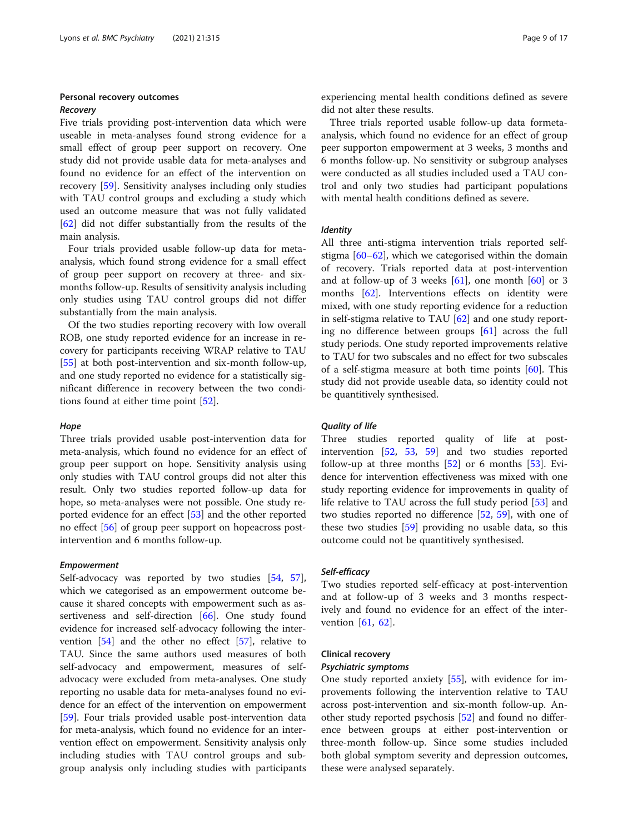#### Personal recovery outcomes

#### Recovery

Five trials providing post-intervention data which were useable in meta-analyses found strong evidence for a small effect of group peer support on recovery. One study did not provide usable data for meta-analyses and found no evidence for an effect of the intervention on recovery [\[59\]](#page-15-0). Sensitivity analyses including only studies with TAU control groups and excluding a study which used an outcome measure that was not fully validated [[62\]](#page-15-0) did not differ substantially from the results of the main analysis.

Four trials provided usable follow-up data for metaanalysis, which found strong evidence for a small effect of group peer support on recovery at three- and sixmonths follow-up. Results of sensitivity analysis including only studies using TAU control groups did not differ substantially from the main analysis.

Of the two studies reporting recovery with low overall ROB, one study reported evidence for an increase in recovery for participants receiving WRAP relative to TAU [[55\]](#page-15-0) at both post-intervention and six-month follow-up, and one study reported no evidence for a statistically significant difference in recovery between the two conditions found at either time point [\[52](#page-15-0)].

#### Hope

Three trials provided usable post-intervention data for meta-analysis, which found no evidence for an effect of group peer support on hope. Sensitivity analysis using only studies with TAU control groups did not alter this result. Only two studies reported follow-up data for hope, so meta-analyses were not possible. One study reported evidence for an effect [[53\]](#page-15-0) and the other reported no effect [[56](#page-15-0)] of group peer support on hopeacross postintervention and 6 months follow-up.

#### Empowerment

Self-advocacy was reported by two studies [[54,](#page-15-0) [57](#page-15-0)], which we categorised as an empowerment outcome because it shared concepts with empowerment such as as-sertiveness and self-direction [\[66](#page-15-0)]. One study found evidence for increased self-advocacy following the intervention [[54\]](#page-15-0) and the other no effect [[57](#page-15-0)], relative to TAU. Since the same authors used measures of both self-advocacy and empowerment, measures of selfadvocacy were excluded from meta-analyses. One study reporting no usable data for meta-analyses found no evidence for an effect of the intervention on empowerment [[59\]](#page-15-0). Four trials provided usable post-intervention data for meta-analysis, which found no evidence for an intervention effect on empowerment. Sensitivity analysis only including studies with TAU control groups and subgroup analysis only including studies with participants

experiencing mental health conditions defined as severe did not alter these results.

Three trials reported usable follow-up data formetaanalysis, which found no evidence for an effect of group peer supporton empowerment at 3 weeks, 3 months and 6 months follow-up. No sensitivity or subgroup analyses were conducted as all studies included used a TAU control and only two studies had participant populations with mental health conditions defined as severe.

#### Identity

All three anti-stigma intervention trials reported selfstigma [[60](#page-15-0)–[62](#page-15-0)], which we categorised within the domain of recovery. Trials reported data at post-intervention and at follow-up of 3 weeks  $[61]$  $[61]$ , one month  $[60]$  $[60]$  or 3 months [\[62\]](#page-15-0). Interventions effects on identity were mixed, with one study reporting evidence for a reduction in self-stigma relative to TAU [\[62\]](#page-15-0) and one study reporting no difference between groups [[61\]](#page-15-0) across the full study periods. One study reported improvements relative to TAU for two subscales and no effect for two subscales of a self-stigma measure at both time points [\[60\]](#page-15-0). This study did not provide useable data, so identity could not be quantitively synthesised.

#### Quality of life

Three studies reported quality of life at postintervention [[52,](#page-15-0) [53,](#page-15-0) [59](#page-15-0)] and two studies reported follow-up at three months  $[52]$  $[52]$  or 6 months  $[53]$  $[53]$ . Evidence for intervention effectiveness was mixed with one study reporting evidence for improvements in quality of life relative to TAU across the full study period [\[53](#page-15-0)] and two studies reported no difference [[52](#page-15-0), [59](#page-15-0)], with one of these two studies [\[59\]](#page-15-0) providing no usable data, so this outcome could not be quantitively synthesised.

#### Self-efficacy

Two studies reported self-efficacy at post-intervention and at follow-up of 3 weeks and 3 months respectively and found no evidence for an effect of the intervention [\[61](#page-15-0), [62](#page-15-0)].

#### Clinical recovery

#### Psychiatric symptoms

One study reported anxiety [[55\]](#page-15-0), with evidence for improvements following the intervention relative to TAU across post-intervention and six-month follow-up. Another study reported psychosis [[52\]](#page-15-0) and found no difference between groups at either post-intervention or three-month follow-up. Since some studies included both global symptom severity and depression outcomes, these were analysed separately.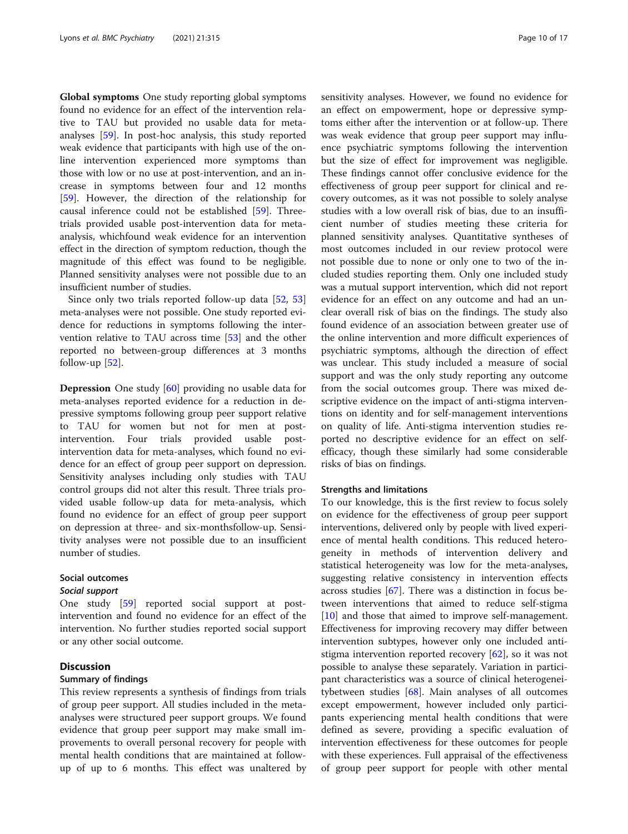Global symptoms One study reporting global symptoms found no evidence for an effect of the intervention relative to TAU but provided no usable data for metaanalyses [[59\]](#page-15-0). In post-hoc analysis, this study reported weak evidence that participants with high use of the online intervention experienced more symptoms than those with low or no use at post-intervention, and an increase in symptoms between four and 12 months [[59\]](#page-15-0). However, the direction of the relationship for causal inference could not be established [[59](#page-15-0)]. Threetrials provided usable post-intervention data for metaanalysis, whichfound weak evidence for an intervention effect in the direction of symptom reduction, though the magnitude of this effect was found to be negligible. Planned sensitivity analyses were not possible due to an insufficient number of studies.

Since only two trials reported follow-up data [[52](#page-15-0), [53](#page-15-0)] meta-analyses were not possible. One study reported evidence for reductions in symptoms following the intervention relative to TAU across time [\[53\]](#page-15-0) and the other reported no between-group differences at 3 months follow-up  $[52]$  $[52]$ .

Depression One study [[60\]](#page-15-0) providing no usable data for meta-analyses reported evidence for a reduction in depressive symptoms following group peer support relative to TAU for women but not for men at postintervention. Four trials provided usable postintervention data for meta-analyses, which found no evidence for an effect of group peer support on depression. Sensitivity analyses including only studies with TAU control groups did not alter this result. Three trials provided usable follow-up data for meta-analysis, which found no evidence for an effect of group peer support on depression at three- and six-monthsfollow-up. Sensitivity analyses were not possible due to an insufficient number of studies.

#### Social outcomes

#### Social support

One study [[59](#page-15-0)] reported social support at postintervention and found no evidence for an effect of the intervention. No further studies reported social support or any other social outcome.

#### **Discussion**

#### Summary of findings

This review represents a synthesis of findings from trials of group peer support. All studies included in the metaanalyses were structured peer support groups. We found evidence that group peer support may make small improvements to overall personal recovery for people with mental health conditions that are maintained at followup of up to 6 months. This effect was unaltered by sensitivity analyses. However, we found no evidence for an effect on empowerment, hope or depressive symptoms either after the intervention or at follow-up. There was weak evidence that group peer support may influence psychiatric symptoms following the intervention but the size of effect for improvement was negligible. These findings cannot offer conclusive evidence for the effectiveness of group peer support for clinical and recovery outcomes, as it was not possible to solely analyse studies with a low overall risk of bias, due to an insufficient number of studies meeting these criteria for planned sensitivity analyses. Quantitative syntheses of most outcomes included in our review protocol were not possible due to none or only one to two of the included studies reporting them. Only one included study was a mutual support intervention, which did not report evidence for an effect on any outcome and had an unclear overall risk of bias on the findings. The study also found evidence of an association between greater use of the online intervention and more difficult experiences of psychiatric symptoms, although the direction of effect was unclear. This study included a measure of social support and was the only study reporting any outcome from the social outcomes group. There was mixed descriptive evidence on the impact of anti-stigma interventions on identity and for self-management interventions on quality of life. Anti-stigma intervention studies reported no descriptive evidence for an effect on selfefficacy, though these similarly had some considerable risks of bias on findings.

#### Strengths and limitations

To our knowledge, this is the first review to focus solely on evidence for the effectiveness of group peer support interventions, delivered only by people with lived experience of mental health conditions. This reduced heterogeneity in methods of intervention delivery and statistical heterogeneity was low for the meta-analyses, suggesting relative consistency in intervention effects across studies [[67](#page-15-0)]. There was a distinction in focus between interventions that aimed to reduce self-stigma [[10\]](#page-14-0) and those that aimed to improve self-management. Effectiveness for improving recovery may differ between intervention subtypes, however only one included antistigma intervention reported recovery [[62\]](#page-15-0), so it was not possible to analyse these separately. Variation in participant characteristics was a source of clinical heterogeneitybetween studies [\[68](#page-15-0)]. Main analyses of all outcomes except empowerment, however included only participants experiencing mental health conditions that were defined as severe, providing a specific evaluation of intervention effectiveness for these outcomes for people with these experiences. Full appraisal of the effectiveness of group peer support for people with other mental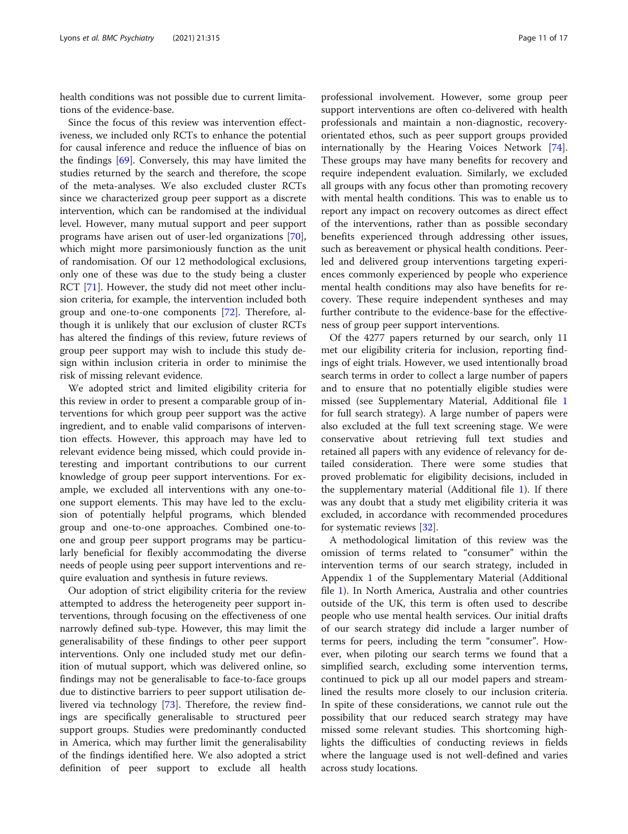health conditions was not possible due to current limitations of the evidence-base.

Since the focus of this review was intervention effectiveness, we included only RCTs to enhance the potential for causal inference and reduce the influence of bias on the findings [\[69\]](#page-15-0). Conversely, this may have limited the studies returned by the search and therefore, the scope of the meta-analyses. We also excluded cluster RCTs since we characterized group peer support as a discrete intervention, which can be randomised at the individual level. However, many mutual support and peer support programs have arisen out of user-led organizations [\[70](#page-15-0)], which might more parsimoniously function as the unit of randomisation. Of our 12 methodological exclusions, only one of these was due to the study being a cluster RCT [\[71](#page-15-0)]. However, the study did not meet other inclusion criteria, for example, the intervention included both group and one-to-one components [\[72\]](#page-15-0). Therefore, although it is unlikely that our exclusion of cluster RCTs has altered the findings of this review, future reviews of group peer support may wish to include this study design within inclusion criteria in order to minimise the risk of missing relevant evidence.

We adopted strict and limited eligibility criteria for this review in order to present a comparable group of interventions for which group peer support was the active ingredient, and to enable valid comparisons of intervention effects. However, this approach may have led to relevant evidence being missed, which could provide interesting and important contributions to our current knowledge of group peer support interventions. For example, we excluded all interventions with any one-toone support elements. This may have led to the exclusion of potentially helpful programs, which blended group and one-to-one approaches. Combined one-toone and group peer support programs may be particularly beneficial for flexibly accommodating the diverse needs of people using peer support interventions and require evaluation and synthesis in future reviews.

Our adoption of strict eligibility criteria for the review attempted to address the heterogeneity peer support interventions, through focusing on the effectiveness of one narrowly defined sub-type. However, this may limit the generalisability of these findings to other peer support interventions. Only one included study met our definition of mutual support, which was delivered online, so findings may not be generalisable to face-to-face groups due to distinctive barriers to peer support utilisation delivered via technology [\[73](#page-15-0)]. Therefore, the review findings are specifically generalisable to structured peer support groups. Studies were predominantly conducted in America, which may further limit the generalisability of the findings identified here. We also adopted a strict definition of peer support to exclude all health

professional involvement. However, some group peer support interventions are often co-delivered with health professionals and maintain a non-diagnostic, recoveryorientated ethos, such as peer support groups provided internationally by the Hearing Voices Network [\[74](#page-15-0)]. These groups may have many benefits for recovery and require independent evaluation. Similarly, we excluded all groups with any focus other than promoting recovery with mental health conditions. This was to enable us to report any impact on recovery outcomes as direct effect of the interventions, rather than as possible secondary benefits experienced through addressing other issues, such as bereavement or physical health conditions. Peerled and delivered group interventions targeting experiences commonly experienced by people who experience mental health conditions may also have benefits for recovery. These require independent syntheses and may further contribute to the evidence-base for the effectiveness of group peer support interventions.

Of the 4277 papers returned by our search, only 11 met our eligibility criteria for inclusion, reporting findings of eight trials. However, we used intentionally broad search terms in order to collect a large number of papers and to ensure that no potentially eligible studies were missed (see Supplementary Material, Additional file [1](#page-13-0) for full search strategy). A large number of papers were also excluded at the full text screening stage. We were conservative about retrieving full text studies and retained all papers with any evidence of relevancy for detailed consideration. There were some studies that proved problematic for eligibility decisions, included in the supplementary material (Additional file [1](#page-13-0)). If there was any doubt that a study met eligibility criteria it was excluded, in accordance with recommended procedures for systematic reviews [[32\]](#page-14-0).

A methodological limitation of this review was the omission of terms related to "consumer" within the intervention terms of our search strategy, included in Appendix 1 of the Supplementary Material (Additional file [1\)](#page-13-0). In North America, Australia and other countries outside of the UK, this term is often used to describe people who use mental health services. Our initial drafts of our search strategy did include a larger number of terms for peers, including the term "consumer". However, when piloting our search terms we found that a simplified search, excluding some intervention terms, continued to pick up all our model papers and streamlined the results more closely to our inclusion criteria. In spite of these considerations, we cannot rule out the possibility that our reduced search strategy may have missed some relevant studies. This shortcoming highlights the difficulties of conducting reviews in fields where the language used is not well-defined and varies across study locations.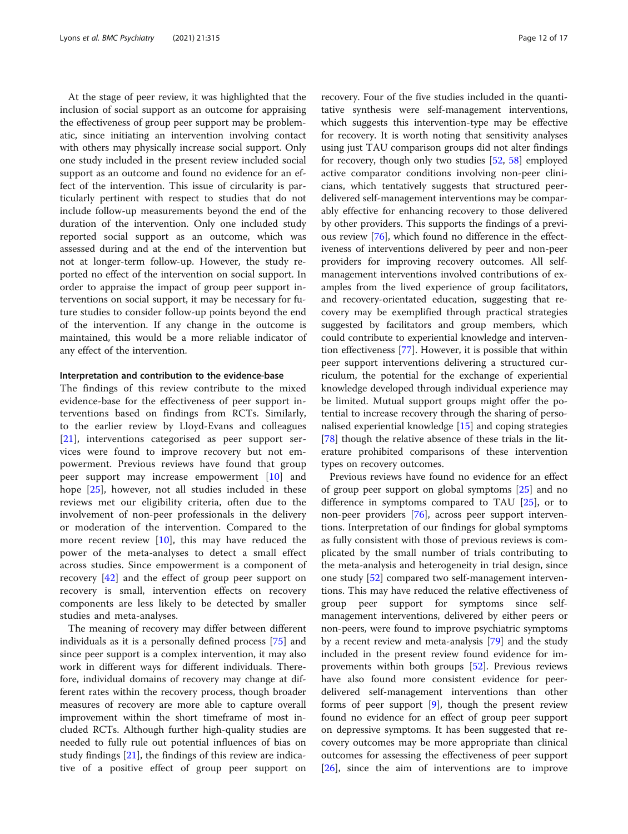At the stage of peer review, it was highlighted that the inclusion of social support as an outcome for appraising the effectiveness of group peer support may be problematic, since initiating an intervention involving contact with others may physically increase social support. Only one study included in the present review included social support as an outcome and found no evidence for an effect of the intervention. This issue of circularity is particularly pertinent with respect to studies that do not include follow-up measurements beyond the end of the duration of the intervention. Only one included study reported social support as an outcome, which was assessed during and at the end of the intervention but not at longer-term follow-up. However, the study reported no effect of the intervention on social support. In order to appraise the impact of group peer support interventions on social support, it may be necessary for future studies to consider follow-up points beyond the end of the intervention. If any change in the outcome is maintained, this would be a more reliable indicator of any effect of the intervention.

#### Interpretation and contribution to the evidence-base

The findings of this review contribute to the mixed evidence-base for the effectiveness of peer support interventions based on findings from RCTs. Similarly, to the earlier review by Lloyd-Evans and colleagues [[21\]](#page-14-0), interventions categorised as peer support services were found to improve recovery but not empowerment. Previous reviews have found that group peer support may increase empowerment [\[10](#page-14-0)] and hope [\[25](#page-14-0)], however, not all studies included in these reviews met our eligibility criteria, often due to the involvement of non-peer professionals in the delivery or moderation of the intervention. Compared to the more recent review [[10\]](#page-14-0), this may have reduced the power of the meta-analyses to detect a small effect across studies. Since empowerment is a component of recovery [\[42](#page-14-0)] and the effect of group peer support on recovery is small, intervention effects on recovery components are less likely to be detected by smaller studies and meta-analyses.

The meaning of recovery may differ between different individuals as it is a personally defined process [[75\]](#page-15-0) and since peer support is a complex intervention, it may also work in different ways for different individuals. Therefore, individual domains of recovery may change at different rates within the recovery process, though broader measures of recovery are more able to capture overall improvement within the short timeframe of most included RCTs. Although further high-quality studies are needed to fully rule out potential influences of bias on study findings [\[21\]](#page-14-0), the findings of this review are indicative of a positive effect of group peer support on recovery. Four of the five studies included in the quantitative synthesis were self-management interventions, which suggests this intervention-type may be effective for recovery. It is worth noting that sensitivity analyses using just TAU comparison groups did not alter findings for recovery, though only two studies [\[52,](#page-15-0) [58](#page-15-0)] employed active comparator conditions involving non-peer clinicians, which tentatively suggests that structured peerdelivered self-management interventions may be comparably effective for enhancing recovery to those delivered by other providers. This supports the findings of a previous review [[76\]](#page-15-0), which found no difference in the effectiveness of interventions delivered by peer and non-peer providers for improving recovery outcomes. All selfmanagement interventions involved contributions of examples from the lived experience of group facilitators, and recovery-orientated education, suggesting that recovery may be exemplified through practical strategies suggested by facilitators and group members, which could contribute to experiential knowledge and intervention effectiveness [[77\]](#page-15-0). However, it is possible that within peer support interventions delivering a structured curriculum, the potential for the exchange of experiential knowledge developed through individual experience may be limited. Mutual support groups might offer the potential to increase recovery through the sharing of personalised experiential knowledge [\[15](#page-14-0)] and coping strategies [[78\]](#page-15-0) though the relative absence of these trials in the literature prohibited comparisons of these intervention types on recovery outcomes.

Previous reviews have found no evidence for an effect of group peer support on global symptoms [\[25](#page-14-0)] and no difference in symptoms compared to TAU  $[25]$  $[25]$  $[25]$ , or to non-peer providers [[76\]](#page-15-0), across peer support interventions. Interpretation of our findings for global symptoms as fully consistent with those of previous reviews is complicated by the small number of trials contributing to the meta-analysis and heterogeneity in trial design, since one study [[52\]](#page-15-0) compared two self-management interventions. This may have reduced the relative effectiveness of group peer support for symptoms since selfmanagement interventions, delivered by either peers or non-peers, were found to improve psychiatric symptoms by a recent review and meta-analysis [\[79\]](#page-15-0) and the study included in the present review found evidence for improvements within both groups [\[52](#page-15-0)]. Previous reviews have also found more consistent evidence for peerdelivered self-management interventions than other forms of peer support  $[9]$  $[9]$ , though the present review found no evidence for an effect of group peer support on depressive symptoms. It has been suggested that recovery outcomes may be more appropriate than clinical outcomes for assessing the effectiveness of peer support [[26\]](#page-14-0), since the aim of interventions are to improve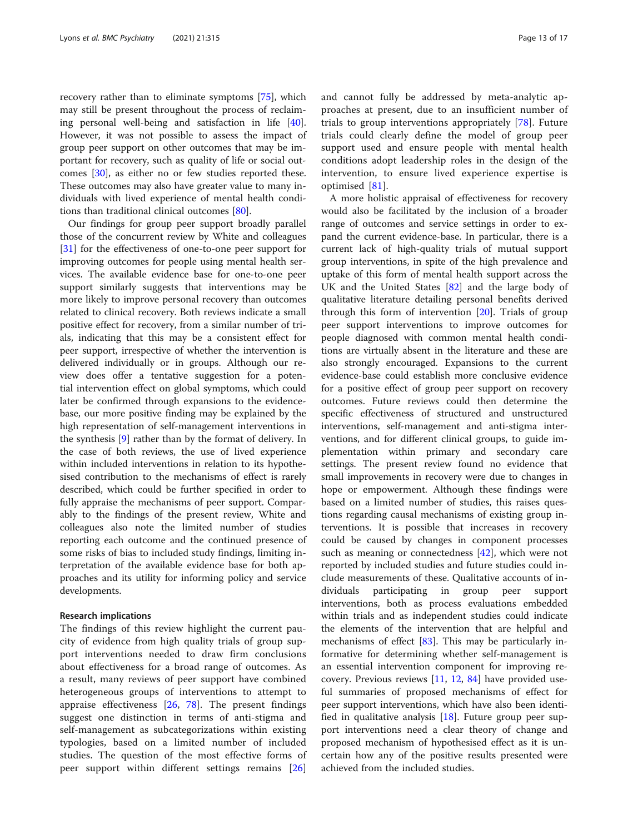recovery rather than to eliminate symptoms [\[75](#page-15-0)], which may still be present throughout the process of reclaiming personal well-being and satisfaction in life [\[40](#page-14-0)]. However, it was not possible to assess the impact of group peer support on other outcomes that may be important for recovery, such as quality of life or social outcomes [[30\]](#page-14-0), as either no or few studies reported these. These outcomes may also have greater value to many individuals with lived experience of mental health conditions than traditional clinical outcomes [\[80](#page-15-0)].

Our findings for group peer support broadly parallel those of the concurrent review by White and colleagues [[31\]](#page-14-0) for the effectiveness of one-to-one peer support for improving outcomes for people using mental health services. The available evidence base for one-to-one peer support similarly suggests that interventions may be more likely to improve personal recovery than outcomes related to clinical recovery. Both reviews indicate a small positive effect for recovery, from a similar number of trials, indicating that this may be a consistent effect for peer support, irrespective of whether the intervention is delivered individually or in groups. Although our review does offer a tentative suggestion for a potential intervention effect on global symptoms, which could later be confirmed through expansions to the evidencebase, our more positive finding may be explained by the high representation of self-management interventions in the synthesis [\[9](#page-14-0)] rather than by the format of delivery. In the case of both reviews, the use of lived experience within included interventions in relation to its hypothesised contribution to the mechanisms of effect is rarely described, which could be further specified in order to fully appraise the mechanisms of peer support. Comparably to the findings of the present review, White and colleagues also note the limited number of studies reporting each outcome and the continued presence of some risks of bias to included study findings, limiting interpretation of the available evidence base for both approaches and its utility for informing policy and service developments.

#### Research implications

The findings of this review highlight the current paucity of evidence from high quality trials of group support interventions needed to draw firm conclusions about effectiveness for a broad range of outcomes. As a result, many reviews of peer support have combined heterogeneous groups of interventions to attempt to appraise effectiveness [\[26](#page-14-0), [78\]](#page-15-0). The present findings suggest one distinction in terms of anti-stigma and self-management as subcategorizations within existing typologies, based on a limited number of included studies. The question of the most effective forms of peer support within different settings remains [\[26](#page-14-0)] and cannot fully be addressed by meta-analytic approaches at present, due to an insufficient number of trials to group interventions appropriately [[78\]](#page-15-0). Future trials could clearly define the model of group peer support used and ensure people with mental health conditions adopt leadership roles in the design of the intervention, to ensure lived experience expertise is optimised [[81\]](#page-15-0).

A more holistic appraisal of effectiveness for recovery would also be facilitated by the inclusion of a broader range of outcomes and service settings in order to expand the current evidence-base. In particular, there is a current lack of high-quality trials of mutual support group interventions, in spite of the high prevalence and uptake of this form of mental health support across the UK and the United States [[82\]](#page-15-0) and the large body of qualitative literature detailing personal benefits derived through this form of intervention [[20\]](#page-14-0). Trials of group peer support interventions to improve outcomes for people diagnosed with common mental health conditions are virtually absent in the literature and these are also strongly encouraged. Expansions to the current evidence-base could establish more conclusive evidence for a positive effect of group peer support on recovery outcomes. Future reviews could then determine the specific effectiveness of structured and unstructured interventions, self-management and anti-stigma interventions, and for different clinical groups, to guide implementation within primary and secondary care settings. The present review found no evidence that small improvements in recovery were due to changes in hope or empowerment. Although these findings were based on a limited number of studies, this raises questions regarding causal mechanisms of existing group interventions. It is possible that increases in recovery could be caused by changes in component processes such as meaning or connectedness [[42](#page-14-0)], which were not reported by included studies and future studies could include measurements of these. Qualitative accounts of individuals participating in group peer support interventions, both as process evaluations embedded within trials and as independent studies could indicate the elements of the intervention that are helpful and mechanisms of effect [[83](#page-15-0)]. This may be particularly informative for determining whether self-management is an essential intervention component for improving recovery. Previous reviews [\[11](#page-14-0), [12,](#page-14-0) [84](#page-15-0)] have provided useful summaries of proposed mechanisms of effect for peer support interventions, which have also been identified in qualitative analysis [[18](#page-14-0)]. Future group peer support interventions need a clear theory of change and proposed mechanism of hypothesised effect as it is uncertain how any of the positive results presented were achieved from the included studies.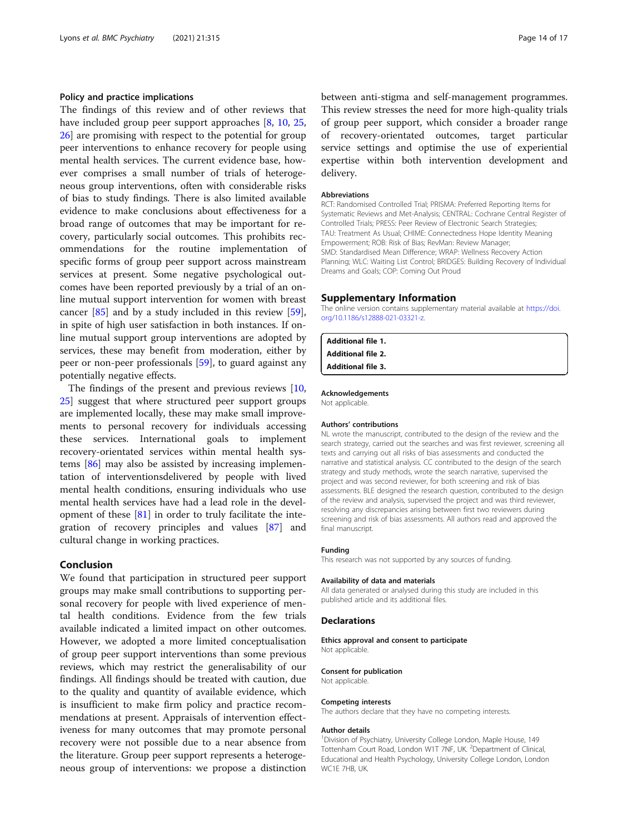#### <span id="page-13-0"></span>Policy and practice implications

The findings of this review and of other reviews that have included group peer support approaches [[8,](#page-14-0) [10](#page-14-0), [25](#page-14-0), [26\]](#page-14-0) are promising with respect to the potential for group peer interventions to enhance recovery for people using mental health services. The current evidence base, however comprises a small number of trials of heterogeneous group interventions, often with considerable risks of bias to study findings. There is also limited available evidence to make conclusions about effectiveness for a broad range of outcomes that may be important for recovery, particularly social outcomes. This prohibits recommendations for the routine implementation of specific forms of group peer support across mainstream services at present. Some negative psychological outcomes have been reported previously by a trial of an online mutual support intervention for women with breast cancer [\[85](#page-15-0)] and by a study included in this review [\[59](#page-15-0)], in spite of high user satisfaction in both instances. If online mutual support group interventions are adopted by services, these may benefit from moderation, either by peer or non-peer professionals [[59\]](#page-15-0), to guard against any potentially negative effects.

The findings of the present and previous reviews [[10](#page-14-0), [25\]](#page-14-0) suggest that where structured peer support groups are implemented locally, these may make small improvements to personal recovery for individuals accessing these services. International goals to implement recovery-orientated services within mental health systems [\[86\]](#page-16-0) may also be assisted by increasing implementation of interventionsdelivered by people with lived mental health conditions, ensuring individuals who use mental health services have had a lead role in the development of these [\[81](#page-15-0)] in order to truly facilitate the integration of recovery principles and values [\[87\]](#page-16-0) and cultural change in working practices.

#### Conclusion

We found that participation in structured peer support groups may make small contributions to supporting personal recovery for people with lived experience of mental health conditions. Evidence from the few trials available indicated a limited impact on other outcomes. However, we adopted a more limited conceptualisation of group peer support interventions than some previous reviews, which may restrict the generalisability of our findings. All findings should be treated with caution, due to the quality and quantity of available evidence, which is insufficient to make firm policy and practice recommendations at present. Appraisals of intervention effectiveness for many outcomes that may promote personal recovery were not possible due to a near absence from the literature. Group peer support represents a heterogeneous group of interventions: we propose a distinction between anti-stigma and self-management programmes. This review stresses the need for more high-quality trials of group peer support, which consider a broader range of recovery-orientated outcomes, target particular service settings and optimise the use of experiential expertise within both intervention development and delivery.

#### Abbreviations

RCT: Randomised Controlled Trial; PRISMA: Preferred Reporting Items for Systematic Reviews and Met-Analysis; CENTRAL: Cochrane Central Register of Controlled Trials; PRESS: Peer Review of Electronic Search Strategies; TAU: Treatment As Usual; CHIME: Connectedness Hope Identity Meaning Empowerment; ROB: Risk of Bias; RevMan: Review Manager; SMD: Standardised Mean Difference; WRAP: Wellness Recovery Action Planning; WLC: Waiting List Control; BRIDGES: Building Recovery of Individual Dreams and Goals; COP: Coming Out Proud

#### Supplementary Information

The online version contains supplementary material available at [https://doi.](https://doi.org/10.1186/s12888-021-03321-z) [org/10.1186/s12888-021-03321-z](https://doi.org/10.1186/s12888-021-03321-z).

#### Additional file 1. Additional file 2. Additional file 3.

Acknowledgements

Not applicable.

#### Authors' contributions

NL wrote the manuscript, contributed to the design of the review and the search strategy, carried out the searches and was first reviewer, screening all texts and carrying out all risks of bias assessments and conducted the narrative and statistical analysis. CC contributed to the design of the search strategy and study methods, wrote the search narrative, supervised the project and was second reviewer, for both screening and risk of bias assessments. BLE designed the research question, contributed to the design of the review and analysis, supervised the project and was third reviewer, resolving any discrepancies arising between first two reviewers during screening and risk of bias assessments. All authors read and approved the final manuscript.

#### Funding

This research was not supported by any sources of funding.

#### Availability of data and materials

All data generated or analysed during this study are included in this published article and its additional files.

#### **Declarations**

#### Ethics approval and consent to participate

Not applicable.

#### Consent for publication

Not applicable.

#### Competing interests

The authors declare that they have no competing interests.

#### Author details

<sup>1</sup> Division of Psychiatry, University College London, Maple House, 149 Tottenham Court Road, London W1T 7NF, UK.<sup>2</sup> Department of Clinical Educational and Health Psychology, University College London, London WC1E 7HB, UK.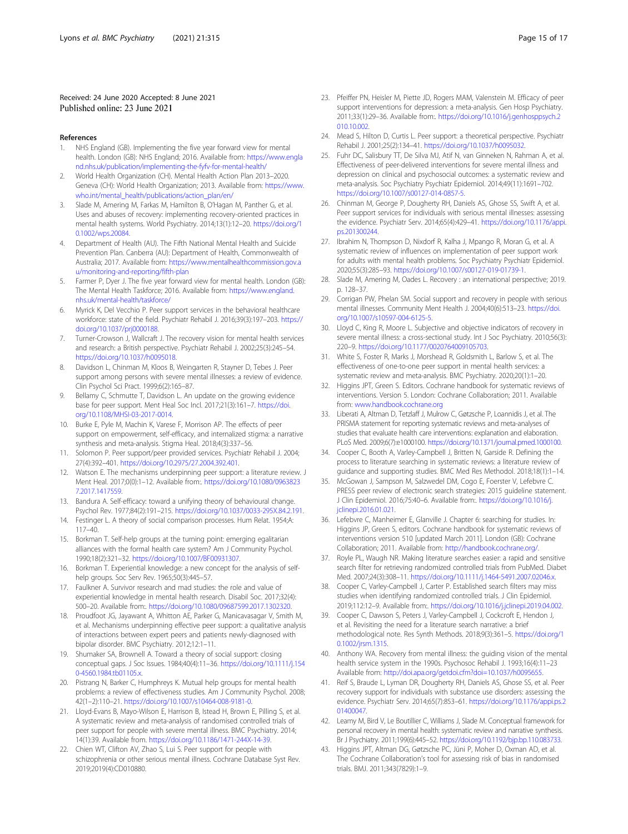#### <span id="page-14-0"></span>Received: 24 June 2020 Accepted: 8 June 2021 Published online: 23 June 2021

#### References

- 1. NHS England (GB). Implementing the five year forward view for mental health. London (GB): NHS England; 2016. Available from: [https://www.engla](https://www.england.nhs.uk/publication/implementing-the-fyfv-for-mental-health/) [nd.nhs.uk/publication/implementing-the-fyfv-for-mental-health/](https://www.england.nhs.uk/publication/implementing-the-fyfv-for-mental-health/)
- 2. World Health Organization (CH). Mental Health Action Plan 2013–2020. Geneva (CH): World Health Organization; 2013. Available from: [https://www.](https://www.who.int/mental_health/publications/action_plan/en/) [who.int/mental\\_health/publications/action\\_plan/en/](https://www.who.int/mental_health/publications/action_plan/en/)
- Slade M, Amering M, Farkas M, Hamilton B, O'Hagan M, Panther G, et al. Uses and abuses of recovery: implementing recovery-oriented practices in mental health systems. World Psychiatry. 2014;13(1):12–20. [https://doi.org/1](https://doi.org/10.1002/wps.20084) [0.1002/wps.20084](https://doi.org/10.1002/wps.20084).
- 4. Department of Health (AU). The Fifth National Mental Health and Suicide Prevention Plan. Canberra (AU): Department of Health, Commonwealth of Australia; 2017. Available from: [https://www.mentalhealthcommission.gov.a](https://www.mentalhealthcommission.gov.au/monitoring-and-reporting/fifth-plan) [u/monitoring-and-reporting/fifth-plan](https://www.mentalhealthcommission.gov.au/monitoring-and-reporting/fifth-plan)
- 5. Farmer P, Dyer J. The five year forward view for mental health. London (GB): The Mental Health Taskforce; 2016. Available from: [https://www.england.](https://www.england.nhs.uk/mental-health/taskforce/) [nhs.uk/mental-health/taskforce/](https://www.england.nhs.uk/mental-health/taskforce/)
- 6. Myrick K, Del Vecchio P. Peer support services in the behavioral healthcare workforce: state of the field. Psychiatr Rehabil J. 2016;39(3):197–203. [https://](https://doi.org/10.1037/prj0000188) [doi.org/10.1037/prj0000188.](https://doi.org/10.1037/prj0000188)
- 7. Turner-Crowson J, Wallcraft J. The recovery vision for mental health services and research: a British perspective. Psychiatr Rehabil J. 2002;25(3):245–54. [https://doi.org/10.1037/h0095018.](https://doi.org/10.1037/h0095018)
- 8. Davidson L, Chinman M, Kloos B, Weingarten R, Stayner D, Tebes J. Peer support among persons with severe mental illnesses: a review of evidence. Clin Psychol Sci Pract. 1999;6(2):165–87.
- Bellamy C, Schmutte T, Davidson L. An update on the growing evidence base for peer support. Ment Heal Soc Incl. 2017;21(3):161–7. [https://doi.](https://doi.org/10.1108/MHSI-03-2017-0014) [org/10.1108/MHSI-03-2017-0014.](https://doi.org/10.1108/MHSI-03-2017-0014)
- 10. Burke E, Pyle M, Machin K, Varese F, Morrison AP. The effects of peer support on empowerment, self-efficacy, and internalized stigma: a narrative synthesis and meta-analysis. Stigma Heal. 2018;4(3):337–56.
- 11. Solomon P. Peer support/peer provided services. Psychiatr Rehabil J. 2004; 27(4):392–401. [https://doi.org/10.2975/27.2004.392.401.](https://doi.org/10.2975/27.2004.392.401)
- 12. Watson E. The mechanisms underpinning peer support: a literature review. J Ment Heal. 2017;0(0):1–12. Available from:. [https://doi.org/10.1080/0963823](https://doi.org/10.1080/09638237.2017.1417559) [7.2017.1417559](https://doi.org/10.1080/09638237.2017.1417559).
- 13. Bandura A. Self-efficacy: toward a unifying theory of behavioural change. Psychol Rev. 1977;84(2):191–215. <https://doi.org/10.1037/0033-295X.84.2.191>.
- 14. Festinger L. A theory of social comparison processes. Hum Relat. 1954;A: 117–40.
- 15. Borkman T. Self-help groups at the turning point: emerging egalitarian alliances with the formal health care system? Am J Community Psychol. 1990;18(2):321–32. [https://doi.org/10.1007/BF00931307.](https://doi.org/10.1007/BF00931307)
- 16. Borkman T. Experiential knowledge: a new concept for the analysis of selfhelp groups. Soc Serv Rev. 1965;50(3):445–57.
- 17. Faulkner A. Survivor research and mad studies: the role and value of experiential knowledge in mental health research. Disabil Soc. 2017;32(4): 500–20. Available from:. [https://doi.org/10.1080/09687599.2017.1302320.](https://doi.org/10.1080/09687599.2017.1302320)
- 18. Proudfoot JG, Jayawant A, Whitton AE, Parker G, Manicavasagar V, Smith M, et al. Mechanisms underpinning effective peer support: a qualitative analysis of interactions between expert peers and patients newly-diagnosed with bipolar disorder. BMC Psychiatry. 2012;12:1–11.
- 19. Shumaker SA, Brownell A. Toward a theory of social support: closing conceptual gaps. J Soc Issues. 1984;40(4):11–36. [https://doi.org/10.1111/j.154](https://doi.org/10.1111/j.1540-4560.1984.tb01105.x) [0-4560.1984.tb01105.x](https://doi.org/10.1111/j.1540-4560.1984.tb01105.x).
- 20. Pistrang N, Barker C, Humphreys K. Mutual help groups for mental health problems: a review of effectiveness studies. Am J Community Psychol. 2008; 42(1–2):110–21. <https://doi.org/10.1007/s10464-008-9181-0>.
- 21. Lloyd-Evans B, Mayo-Wilson E, Harrison B, Istead H, Brown E, Pilling S, et al. A systematic review and meta-analysis of randomised controlled trials of peer support for people with severe mental illness. BMC Psychiatry. 2014; 14(1):39. Available from. <https://doi.org/10.1186/1471-244X-14-39>.
- 22. Chien WT, Clifton AV, Zhao S, Lui S. Peer support for people with schizophrenia or other serious mental illness. Cochrane Database Syst Rev. 2019;2019(4):CD010880.
- 23. Pfeiffer PN, Heisler M, Piette JD, Rogers MAM, Valenstein M. Efficacy of peer support interventions for depression: a meta-analysis. Gen Hosp Psychiatry. 2011;33(1):29–36. Available from:. [https://doi.org/10.1016/j.genhosppsych.2](https://doi.org/10.1016/j.genhosppsych.2010.10.002) [010.10.002](https://doi.org/10.1016/j.genhosppsych.2010.10.002).
- 24. Mead S, Hilton D, Curtis L. Peer support: a theoretical perspective. Psychiatr Rehabil J. 2001;25(2):134–41. <https://doi.org/10.1037/h0095032>.
- 25. Fuhr DC, Salisbury TT, De Silva MJ, Atif N, van Ginneken N, Rahman A, et al. Effectiveness of peer-delivered interventions for severe mental illness and depression on clinical and psychosocial outcomes: a systematic review and meta-analysis. Soc Psychiatry Psychiatr Epidemiol. 2014;49(11):1691–702. <https://doi.org/10.1007/s00127-014-0857-5>.
- 26. Chinman M, George P, Dougherty RH, Daniels AS, Ghose SS, Swift A, et al. Peer support services for individuals with serious mental illnesses: assessing the evidence. Psychiatr Serv. 2014;65(4):429–41. [https://doi.org/10.1176/appi.](https://doi.org/10.1176/appi.ps.201300244) [ps.201300244](https://doi.org/10.1176/appi.ps.201300244).
- 27. Ibrahim N, Thompson D, Nixdorf R, Kalha J, Mpango R, Moran G, et al. A systematic review of influences on implementation of peer support work for adults with mental health problems. Soc Psychiatry Psychiatr Epidemiol. 2020;55(3):285–93. <https://doi.org/10.1007/s00127-019-01739-1>.
- 28. Slade M, Amering M, Oades L. Recovery : an international perspective; 2019. p. 128–37.
- 29. Corrigan PW, Phelan SM. Social support and recovery in people with serious mental illnesses. Community Ment Health J. 2004;40(6):513–23. [https://doi.](https://doi.org/10.1007/s10597-004-6125-5) [org/10.1007/s10597-004-6125-5](https://doi.org/10.1007/s10597-004-6125-5).
- 30. Lloyd C, King R, Moore L. Subjective and objective indicators of recovery in severe mental illness: a cross-sectional study. Int J Soc Psychiatry. 2010;56(3): 220–9. <https://doi.org/10.1177/0020764009105703>.
- 31. White S, Foster R, Marks J, Morshead R, Goldsmith L, Barlow S, et al. The effectiveness of one-to-one peer support in mental health services: a systematic review and meta-analysis. BMC Psychiatry. 2020;20(1):1–20.
- 32. Higgins JPT, Green S. Editors. Cochrane handbook for systematic reviews of interventions. Version 5. London: Cochrane Collaboration; 2011. Available from: [www.handbook.cochrane.org](http://www.handbook.cochrane.org)
- 33. Liberati A, Altman D, Tetzlaff J, Mulrow C, Gøtzsche P, Loannidis J, et al. The PRISMA statement for reporting systematic reviews and meta-analyses of studies that evaluate health care interventions: explanation and elaboration. PLoS Med. 2009;6(7):e1000100. [https://doi.org/10.1371/journal.pmed.1000100.](https://doi.org/10.1371/journal.pmed.1000100)
- 34. Cooper C, Booth A, Varley-Campbell J, Britten N, Garside R. Defining the process to literature searching in systematic reviews: a literature review of guidance and supporting studies. BMC Med Res Methodol. 2018;18(1):1–14.
- 35. McGowan J, Sampson M, Salzwedel DM, Cogo E, Foerster V, Lefebvre C. PRESS peer review of electronic search strategies: 2015 guideline statement. J Clin Epidemiol. 2016;75:40–6. Available from:. [https://doi.org/10.1016/j.](https://doi.org/10.1016/j.jclinepi.2016.01.021) [jclinepi.2016.01.021](https://doi.org/10.1016/j.jclinepi.2016.01.021).
- 36. Lefebvre C, Manheimer E, Glanville J. Chapter 6: searching for studies. In: Higgins JP, Green S, editors. Cochrane handbook for systematic reviews of interventions version 510 [updated March 2011]. London (GB): Cochrane Collaboration; 2011. Available from: <http://handbook.cochrane.org/>.
- 37. Royle PL, Waugh NR. Making literature searches easier: a rapid and sensitive search filter for retrieving randomized controlled trials from PubMed. Diabet Med. 2007;24(3):308–11. <https://doi.org/10.1111/j.1464-5491.2007.02046.x>.
- 38. Cooper C, Varley-Campbell J, Carter P. Established search filters may miss studies when identifying randomized controlled trials. J Clin Epidemiol. 2019;112:12–9. Available from:. [https://doi.org/10.1016/j.jclinepi.2019.04.002.](https://doi.org/10.1016/j.jclinepi.2019.04.002)
- 39. Cooper C, Dawson S, Peters J, Varley-Campbell J, Cockcroft E, Hendon J, et al. Revisiting the need for a literature search narrative: a brief methodological note. Res Synth Methods. 2018;9(3):361–5. [https://doi.org/1](https://doi.org/10.1002/jrsm.1315) [0.1002/jrsm.1315](https://doi.org/10.1002/jrsm.1315).
- 40. Anthony WA. Recovery from mental illness: the guiding vision of the mental health service system in the 1990s. Psychosoc Rehabil J. 1993;16(4):11–23 Available from: <http://doi.apa.org/getdoi.cfm?doi=10.1037/h0095655>.
- 41. Reif S, Braude L, Lyman DR, Dougherty RH, Daniels AS, Ghose SS, et al. Peer recovery support for individuals with substance use disorders: assessing the evidence. Psychiatr Serv. 2014;65(7):853–61. [https://doi.org/10.1176/appi.ps.2](https://doi.org/10.1176/appi.ps.201400047) [01400047](https://doi.org/10.1176/appi.ps.201400047).
- 42. Leamy M, Bird V, Le Boutillier C, Williams J, Slade M. Conceptual framework for personal recovery in mental health: systematic review and narrative synthesis. Br J Psychiatry. 2011;199(6):445–52. [https://doi.org/10.1192/bjp.bp.110.083733.](https://doi.org/10.1192/bjp.bp.110.083733)
- 43. Higgins JPT, Altman DG, Gøtzsche PC, Jüni P, Moher D, Oxman AD, et al. The Cochrane Collaboration's tool for assessing risk of bias in randomised trials. BMJ. 2011;343(7829):1–9.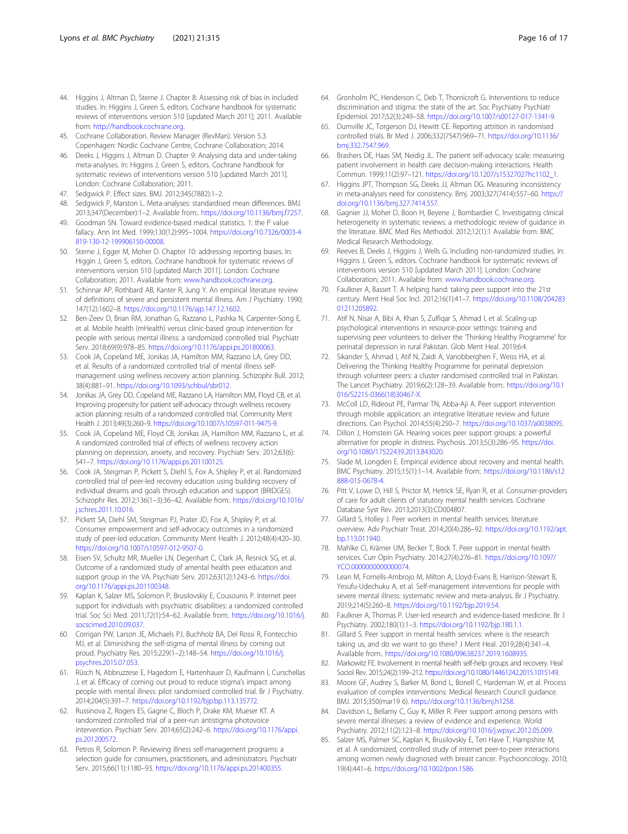- <span id="page-15-0"></span>44. Higgins J, Altman D, Sterne J. Chapter 8: Assessing risk of bias in included studies. In: Higgins J, Green S, editors. Cochrane handbook for systematic reviews of interventions version 510 [updated March 2011]; 2011. Available from: [http://handbook.cochrane.org.](http://handbook.cochrane.org)
- 45. Cochrane Collaboration. Review Manager (RevMan). Version 5.3. Copenhagen: Nordic Cochrane Centre, Cochrane Collaboration; 2014.
- 46. Deeks J, Higgins J, Altman D. Chapter 9: Analysing data and under-taking meta-analyses. In: Higgins J, Green S, editors. Cochrane handbook for systematic reviews of interventions version 510 [updated March 2011]. London: Cochrane Collaboration; 2011.
- 47. Sedgwick P. Effect sizes. BMJ. 2012;345(7882):1–2.
- 48. Sedgwick P, Marston L. Meta-analyses: standardised mean differences. BMJ. 2013;347(December):1–2. Available from:. [https://doi.org/10.1136/bmj.f7257.](https://doi.org/10.1136/bmj.f7257)
- 49. Goodman SN. Toward evidence-based medical statistics. 1: the P value fallacy. Ann Int Med. 1999;130(12):995–1004. [https://doi.org/10.7326/0003-4](https://doi.org/10.7326/0003-4819-130-12-199906150-00008) [819-130-12-199906150-00008](https://doi.org/10.7326/0003-4819-130-12-199906150-00008).
- 50. Sterne J, Egger M, Moher D. Chapter 10: addressing reporting biases. In: Higgin J, Green S, editors. Cochrane handbook for systematic reviews of interventions version 510 [updated March 2011]. London: Cochrane Collaboration; 2011. Available from: [www.handbook.cochrane.org](http://www.handbook.cochrane.org).
- 51. Schinnar AP, Rothbard AB, Kanter R, Jung Y. An empirical literature review of definitions of severe and persistent mental illness. Am J Psychiatry. 1990; 147(12):1602–8. [https://doi.org/10.1176/ajp.147.12.1602.](https://doi.org/10.1176/ajp.147.12.1602)
- 52. Ben-Zeev D, Brian RM, Jonathan G, Razzano L, Pashka N, Carpenter-Song E, et al. Mobile health (mHealth) versus clinic-based group intervention for people with serious mental illness: a randomized controlled trial. Psychiatr Serv. 2018;69(9):978–85. <https://doi.org/10.1176/appi.ps.201800063>.
- 53. Cook JA, Copeland ME, Jonikas JA, Hamilton MM, Razzano LA, Grey DD, et al. Results of a randomized controlled trial of mental illness selfmanagement using wellness recovery action planning. Schizophr Bull. 2012; 38(4):881–91. [https://doi.org/10.1093/schbul/sbr012.](https://doi.org/10.1093/schbul/sbr012)
- 54. Jonikas JA, Grey DD, Copeland ME, Razzano LA, Hamilton MM, Floyd CB, et al. Improving propensity for patient self-advocacy through wellness recovery action planning: results of a randomized controlled trial. Community Ment Health J. 2013;49(3):260–9. <https://doi.org/10.1007/s10597-011-9475-9>.
- 55. Cook JA, Copeland ME, Floyd CB, Jonikas JA, Hamilton MM, Razzano L, et al. A randomized controlled trial of effects of wellness recovery action planning on depression, anxiety, and recovery. Psychiatr Serv. 2012;63(6): 541–7. <https://doi.org/10.1176/appi.ps.201100125>.
- 56. Cook JA, Steigman P, Pickett S, Diehl S, Fox A, Shipley P, et al. Randomized controlled trial of peer-led recovery education using building recovery of individual dreams and goals through education and support (BRIDGES). Schizophr Res. 2012;136(1–3):36–42. Available from:. [https://doi.org/10.1016/](https://doi.org/10.1016/j.schres.2011.10.016) [j.schres.2011.10.016](https://doi.org/10.1016/j.schres.2011.10.016).
- 57. Pickett SA, Diehl SM, Steigman PJ, Prater JD, Fox A, Shipley P, et al. Consumer empowerment and self-advocacy outcomes in a randomized study of peer-led education. Community Ment Health J. 2012;48(4):420–30. <https://doi.org/10.1007/s10597-012-9507-0>.
- 58. Eisen SV, Schultz MR, Mueller LN, Degenhart C, Clark JA, Resnick SG, et al. Outcome of a randomized study of amental health peer education and support group in the VA. Psychiatr Serv. 2012;63(12):1243–6. [https://doi.](https://doi.org/10.1176/appi.ps.201100348) [org/10.1176/appi.ps.201100348.](https://doi.org/10.1176/appi.ps.201100348)
- 59. Kaplan K, Salzer MS, Solomon P, Brusilovskiy E, Cousounis P. Internet peer support for individuals with psychiatric disabilities: a randomized controlled trial. Soc Sci Med. 2011;72(1):54–62. Available from:. [https://doi.org/10.1016/j.](https://doi.org/10.1016/j.socscimed.2010.09.037) [socscimed.2010.09.037.](https://doi.org/10.1016/j.socscimed.2010.09.037)
- 60. Corrigan PW, Larson JE, Michaels PJ, Buchholz BA, Del Rossi R, Fontecchio MJ, et al. Diminishing the self-stigma of mental illness by coming out proud. Psychiatry Res. 2015;229(1–2):148–54. [https://doi.org/10.1016/j.](https://doi.org/10.1016/j.psychres.2015.07.053) [psychres.2015.07.053.](https://doi.org/10.1016/j.psychres.2015.07.053)
- 61. Rüsch N, Abbruzzese E, Hagedorn E, Hartenhauer D, Kaufmann I, Curschellas J, et al. Efficacy of coming out proud to reduce stigma's impact among people with mental illness: pilot randomised controlled trial. Br J Psychiatry. 2014;204(5):391–7. <https://doi.org/10.1192/bjp.bp.113.135772>.
- 62. Russinova Z, Rogers ES, Gagne C, Bloch P, Drake KM, Mueser KT. A randomized controlled trial of a peer-run antistigma photovoice intervention. Psychiatr Serv. 2014;65(2):242–6. [https://doi.org/10.1176/appi.](https://doi.org/10.1176/appi.ps.201200572) [ps.201200572](https://doi.org/10.1176/appi.ps.201200572).
- 63. Petros R, Solomon P. Reviewing illness self-management programs: a selection guide for consumers, practitioners, and administrators. Psychiatr Serv. 2015;66(11):1180–93. [https://doi.org/10.1176/appi.ps.201400355.](https://doi.org/10.1176/appi.ps.201400355)
- 64. Gronholm PC, Henderson C, Deb T, Thornicroft G. Interventions to reduce discrimination and stigma: the state of the art. Soc Psychiatry Psychiatr Epidemiol. 2017;52(3):249–58. [https://doi.org/10.1007/s00127-017-1341-9.](https://doi.org/10.1007/s00127-017-1341-9)
- 65. Dumville JC, Torgerson DJ, Hewitt CE. Reporting attrition in randomised controlled trials. Br Med J. 2006;332(7547):969–71. [https://doi.org/10.1136/](https://doi.org/10.1136/bmj.332.7547.969) [bmj.332.7547.969.](https://doi.org/10.1136/bmj.332.7547.969)
- 66. Brashers DE, Haas SM, Neidig JL. The patient self-advocacy scale: measuring patient involvement in health care decision-making interactions. Health Commun. 1999;11(2):97–121. [https://doi.org/10.1207/s15327027hc1102\\_1](https://doi.org/10.1207/s15327027hc1102_1).
- 67. Higgins JPT, Thompson SG, Deeks JJ, Altman DG. Measuring inconsistency in meta-analyses need for consistency. Bmj. 2003;327(7414):557–60. [https://](https://doi.org/10.1136/bmj.327.7414.557) [doi.org/10.1136/bmj.327.7414.557](https://doi.org/10.1136/bmj.327.7414.557).
- 68. Gagnier JJ, Moher D, Boon H, Beyene J, Bombardier C. Investigating clinical heterogeneity in systematic reviews: a methodologic review of guidance in the literature. BMC Med Res Methodol. 2012;12(1):1 Available from: BMC Medical Research Methodology.
- 69. Reeves B, Deeks J, Higgins J, Wells G. Including non-randomized studies. In: Higgins J, Green S, editors. Cochrane handbook for systematic reviews of interventions version 510 [updated March 2011]. London: Cochrane Collaboration; 2011. Available from: [www.handbook.cochrane.org](http://www.handbook.cochrane.org).
- 70. Faulkner A, Basset T. A helping hand: taking peer support into the 21st century. Ment Heal Soc Incl. 2012;16(1):41–7. [https://doi.org/10.1108/204283](https://doi.org/10.1108/20428301211205892) [01211205892](https://doi.org/10.1108/20428301211205892).
- 71. Atif N, Nisar A, Bibi A, Khan S, Zulfiqar S, Ahmad I, et al. Scaling-up psychological interventions in resource-poor settings: training and supervising peer volunteers to deliver the 'Thinking Healthy Programme' for perinatal depression in rural Pakistan. Glob Ment Heal. 2019;6:4.
- 72. Sikander S, Ahmad I, Atif N, Zaidi A, Vanobberghen F, Weiss HA, et al. Delivering the Thinking Healthy Programme for perinatal depression through volunteer peers: a cluster randomised controlled trial in Pakistan. The Lancet Psychiatry. 2019;6(2):128–39. Available from:. [https://doi.org/10.1](https://doi.org/10.1016/S2215-0366(18)30467-X) [016/S2215-0366\(18\)30467-X.](https://doi.org/10.1016/S2215-0366(18)30467-X)
- 73. McColl LD, Rideout PE, Parmar TN, Abba-Aji A. Peer support intervention through mobile application: an integrative literature review and future directions. Can Psychol. 2014;55(4):250–7. <https://doi.org/10.1037/a0038095>.
- 74. Dillon J, Hornstein GA. Hearing voices peer support groups: a powerful alternative for people in distress. Psychosis. 2013;5(3):286–95. [https://doi.](https://doi.org/10.1080/17522439.2013.843020) [org/10.1080/17522439.2013.843020.](https://doi.org/10.1080/17522439.2013.843020)
- 75. Slade M, Longden E. Empirical evidence about recovery and mental health. BMC Psychiatry. 2015;15(1):1–14. Available from:. [https://doi.org/10.1186/s12](https://doi.org/10.1186/s12888-015-0678-4) [888-015-0678-4.](https://doi.org/10.1186/s12888-015-0678-4)
- 76. Pitt V, Lowe D, Hill S, Prictor M, Hetrick SE, Ryan R, et al. Consumer-providers of care for adult clients of statutory mental health services. Cochrane Database Syst Rev. 2013;2013(3):CD004807.
- 77. Gillard S, Holley J. Peer workers in mental health services: literature overview. Adv Psychiatr Treat. 2014;20(4):286–92. [https://doi.org/10.1192/apt.](https://doi.org/10.1192/apt.bp.113.011940) [bp.113.011940.](https://doi.org/10.1192/apt.bp.113.011940)
- 78. Mahlke CI, Krämer UM, Becker T, Bock T. Peer support in mental health services. Curr Opin Psychiatry. 2014;27(4):276–81. [https://doi.org/10.1097/](https://doi.org/10.1097/YCO.0000000000000074) [YCO.0000000000000074.](https://doi.org/10.1097/YCO.0000000000000074)
- 79. Lean M, Fornells-Ambrojo M, Milton A, Lloyd-Evans B, Harrison-Stewart B, Yesufu-Udechuku A, et al. Self-management interventions for people with severe mental illness: systematic review and meta-analysis. Br J Psychiatry. 2019;214(5):260–8. [https://doi.org/10.1192/bjp.2019.54.](https://doi.org/10.1192/bjp.2019.54)
- 80. Faulkner A, Thomas P. User-led research and evidence-based medicine. Br J Psychiatry. 2002;180(1):1–3. <https://doi.org/10.1192/bjp.180.1.1>.
- 81. Gillard S. Peer support in mental health services: where is the research taking us, and do we want to go there? J Ment Heal. 2019;28(4):341–4. Available from:. [https://doi.org/10.1080/09638237.2019.1608935.](https://doi.org/10.1080/09638237.2019.1608935)
- 82. Markowitz FE. Involvement in mental health self-help groups and recovery. Heal Sociol Rev. 2015;24(2):199–212. <https://doi.org/10.1080/14461242.2015.1015149>.
- 83. Moore GF, Audrey S, Barker M, Bond L, Bonell C, Hardeman W, et al. Process evaluation of complex interventions: Medical Research Council guidance. BMJ. 2015;350(mar19 6). <https://doi.org/10.1136/bmj.h1258>.
- 84. Davidson L, Bellamy C, Guy K, Miller R. Peer support among persons with severe mental illnesses: a review of evidence and experience. World Psychiatry. 2012;11(2):123–8. [https://doi.org/10.1016/j.wpsyc.2012.05.009.](https://doi.org/10.1016/j.wpsyc.2012.05.009)
- 85. Salzer MS, Palmer SC, Kaplan K, Brusilovskiy E, Ten Have T, Hampshire M, et al. A randomized, controlled study of internet peer-to-peer interactions among women newly diagnosed with breast cancer. Psychooncology. 2010; 19(4):441–6. [https://doi.org/10.1002/pon.1586.](https://doi.org/10.1002/pon.1586)